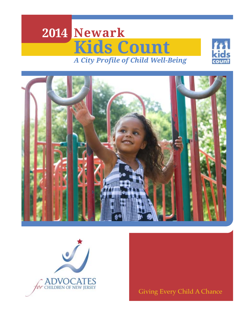# **2014 Newark Kids Count** *A City Profile of Child Well-Being*







Giving Every Child A Chance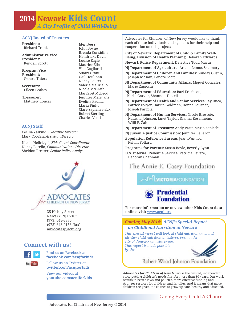### **2014 Newark Kids Count** *A City Profile of Child Well-Being*

**Members:**  John Boyne Brenda Considine Hendricks Davis Louise Eagle Maurice Elias Vito Gagliardi Stuart Grant Gail Houlihan Nancy Lauter Valerie Mauriello Nicole McGrath Margaret McLeod Jennifer Mermans Evelina Padilla Maria Pinho Clare Sapienza-Eck Robert Sterling Charles Venti

#### **ACNJ Board of Trustees**

**President:**  Richard Trenk

**Administrative Vice President:**  Kendell Sprott

**Program Vice President:**  Gerard Thiers

**Secretary:** Eileen Leahey

**Treasurer:** Matthew Loncar

**ACNJ Staff**

Cecilia Zalkind, *Executive Director* Mary Coogan, *Assistant Director*

Nicole Hellriegel, *Kids Count Coordinator* Nancy Parello, *Communications Director* Sheldon Presser, *Senior Policy Analyst*



Newark, NJ 07102 (973) 643-3876 (973) 643-9153 (fax) advocates@acnj.org

#### **Connect with us!**



Find us on Facebook at **facebook.com/acnjforkids**

**You Tube** 

Follow us on Twitter at **twitter.com/acnjforkids** View our videos at

**youtube.com/acnjforkids**

Advocates for Children of New Jersey would like to thank each of these individuals and agencies for their help and cooperation on this project:

**City of Newark, Department of Child & Family Well-Being, Division of Health Planning**: Deborah Edwards

**Newark Police Department:** Detective Todd Mazur

- **NJ Department of Agriculture:** Arleen Ramos-Szatmary
- **NJ Department of Children and Families**: Sunday Gustin, Joseph Ribsam, Lenore Scott
- **NJ Department of Community Affairs:** Miguel Gonzalez, Mario Zapicchi
- **NJ Department of Education:** Bari Erlichson, Karin Garver, Shannon Tootell
- **NJ Department of Health and Senior Services:** Jay Duco, Patrick Dwyer, Darrin Goldman, Donna Leusner, Joseph Pargola
- **NJ Department of Human Services:** Nicole Brossoie, Natasha Johnson, Janet Taylor, Dianna Rosenheim, Willi E. Zahn
- **NJ Department of Treasury:** Andy Pratt, Mario Zapicchi
- **NJ Juvenile Justice Commission:** Jennifer LeBaron
- **Population Reference Bureau**: Jean D'Amico, Kelvin Pollard

**Programs for Parents:** Susan Boyle, Beverly Lynn

**U.S. Internal Revenue Service:** Patricia Bevere, Deborah Chapman

The Annie E. Casey Foundation

**MUNICTORIAFOUNDATION** 



**For more information or to view other Kids Count data** 35 Halsey Street **online, visit www.acnj.org**

> *Coming May 2014: ACNJ's Special Report on Childhood Nutrition in Newark*

*This special report will look at child nutrition data and identify child nutrition initiatives, both in the city of Newark and statewide. This report is made possible by the:*



Robert Wood Johnson Foundation

*Advocates for Children of New Jersey* is the trusted, independent voice putting children's needs first for more than 30 years. Our work results in better laws and policies, more effective funding and stronger services for children and families. And it means that more children are given the chance to grow up safe, healthy and educated.

#### Giving Every Child A Chance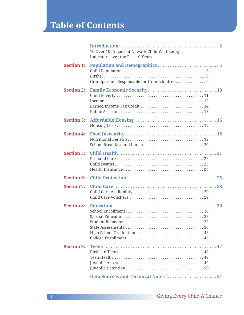### **Table of Contents**

|                   | 10 Over 10: A Look at Newark Child Well-Being<br>Indicators over the Past 10 Years |
|-------------------|------------------------------------------------------------------------------------|
| <b>Section 1:</b> | Grandparents Responsible for Grandchildren. 9                                      |
| <b>Section 2:</b> | Earned Income Tax Credit  14                                                       |
| <b>Section 3:</b> |                                                                                    |
| <b>Section 4:</b> |                                                                                    |
| <b>Section 5:</b> |                                                                                    |
| <b>Section 6:</b> |                                                                                    |
| <b>Section 7:</b> |                                                                                    |
| <b>Section 8:</b> |                                                                                    |
| <b>Section 9:</b> |                                                                                    |
|                   | Data Sources and Technical Notes51                                                 |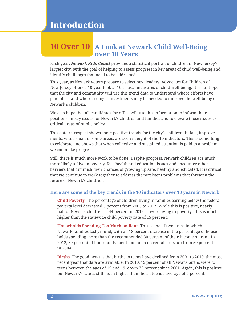### **10 Over 10 A Look at Newark Child Well-Being over 10 Years**

Each year, *Newark Kids Count* provides a statistical portrait of children in New Jersey's largest city, with the goal of helping to assess progress in key areas of child well-being and identify challenges that need to be addressed.

This year, as Newark voters prepare to select new leaders, Advocates for Children of New Jersey offers a 10-year look at 10 critical measures of child well-being. It is our hope that the city and community will use this trend data to understand where efforts have paid off — and where stronger investments may be needed to improve the well-being of Newark's children.

We also hope that all candidates for office will use this information to inform their positions on key issues for Newark's children and families and to elevate those issues as critical areas of public policy.

This data retrospect shows some positive trends for the city's children. In fact, improvements, while small in some areas, are seen in eight of the 10 indicators. This is something to celebrate and shows that when collective and sustained attention is paid to a problem, we can make progress.

Still, there is much more work to be done. Despite progress, Newark children are much more likely to live in poverty, face health and education issues and encounter other barriers that diminish their chances of growing up safe, healthy and educated. It is critical that we continue to work together to address the persistent problems that threaten the future of Newark's children.

#### **Here are some of the key trends in the 10 indicators over 10 years in Newark:**

**Child Poverty.** The percentage of children living in families earning below the federal poverty level decreased 5 percent from 2003 to 2012. While this is positive, nearly half of Newark children — 44 percent in 2012 — were living in poverty. This is much higher than the statewide child poverty rate of 15 percent.

**Households Spending Too Much on Rent.** This is one of two areas in which Newark families lost ground, with an 18 percent increase in the percentage of households spending more than the recommended 30 percent of their income on rent. In 2012, 59 percent of households spent too much on rental costs, up from 50 percent in 2004.

**Births**. The good news is that births to teens have declined from 2001 to 2010, the most recent year that data are available. In 2010, 12 percent of all Newark births were to teens between the ages of 15 and 19, down 25 percent since 2001. Again, this is positive but Newark's rate is still much higher than the statewide average of 6 percent.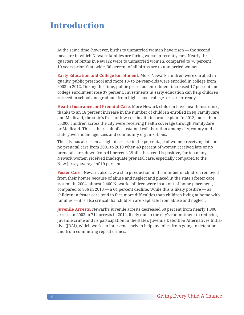### **Introduction**

At the same time, however, births to unmarried women have risen — the second measure in which Newark families are faring worse in recent years. Nearly threequarters of births in Newark were to unmarried women, compared to 70 percent 10 years prior. Statewide, 36 percent of all births are to unmarried women.

**Early Education and College Enrollment.** More Newark children were enrolled in quality, public preschool and more 18- to 24-year-olds were enrolled in college from 2003 to 2012. During this time, public preschool enrollment increased 17 percent and college enrollment rose 37 percent. Investments in early education can help children succeed in school and graduate from high school college- or career-ready.

**Health Insurance and Prenatal Care**. More Newark children have health insurance, thanks to an 18 percent increase in the number of children enrolled in NJ FamilyCare and Medicaid, the state's free- or low-cost health insurance plan. In 2013, more than 55,000 children across the city were receiving health coverage through FamilyCare or Medicaid. This is the result of a sustained collaboration among city, county and state government agencies and community organizations.

The city has also seen a slight decrease in the percentage of women receiving late or no prenatal care from 2001 to 2010 when 40 percent of women received late or no prenatal care, down from 41 percent. While this trend is positive, far too many Newark women received inadequate prenatal care, especially compared to the New Jersey average of 19 percent.

**Foster Care.** Newark also saw a sharp reduction in the number of children removed from their homes because of abuse and neglect and placed in the state's foster care system. In 2004, almost 2,400 Newark children were in an out-of-home placement, compared to 866 in 2013 — a 64 percent decline. While this is likely positive — as children in foster care tend to face more difficulties than children living at home with families — it is also critical that children are kept safe from abuse and neglect.

**Juvenile Arrests.** Newark's juvenile arrests decreased 60 percent from nearly 1,800 arrests in 2003 to 714 arrests in 2012, likely due to the city's commitment to reducing juvenile crime and its participation in the state's Juvenile Detention Alternatives Initiative (JDAI), which works to intervene early to help juveniles from going to detention and from committing repeat crimes.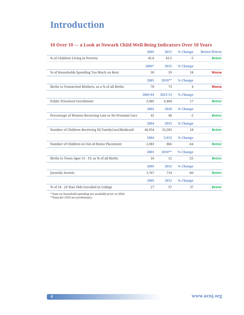### **Introduction**

#### **10 Over 10 — a Look at Newark Child Well-Being Indicators Over 10 Years**

|                                                        | 2003    | 2012     | % Change       | <b>Better/Worse</b> |
|--------------------------------------------------------|---------|----------|----------------|---------------------|
| % of Children Living in Poverty                        | 45.6    | 43.5     | $-5$           | <b>Better</b>       |
|                                                        | 2004*   | 2012     | % Change       |                     |
| % of Households Spending Too Much on Rent              | 50      | 59       | 18             | <b>Worse</b>        |
|                                                        | 2001    | $2010**$ | % Change       |                     |
| Births to Unmarried Mothers, as a % of all Births      | 70      | 73       | $\overline{4}$ | <b>Worse</b>        |
|                                                        | 2003-04 | 2012-13  | % Change       |                     |
| Public Preschool Enrollment                            | 5,485   | 6,404    | 17             | <b>Better</b>       |
|                                                        | 2001    | 2010     | % Change       |                     |
| Percentage of Women Receiving Late or No Prenatal Care | 41      | 40       | $-2$           | <b>Better</b>       |
|                                                        | 2004    | 2013     | % Change       |                     |
| Number of Children Receiving NJ FamilyCare/Medicaid    | 46,934  | 55,283   | 18             | <b>Better</b>       |
|                                                        | 2004    | 2,013    | % Change       |                     |
| Number of Children in Out-of-Home Placement            | 2,383   | 866      | $-64$          | <b>Better</b>       |
|                                                        | 2001    | 2010**   | % Change       |                     |
| Births to Teens Ages 15 - 19, as % of all Births       | 16      | 12       | $-25$          | <b>Better</b>       |
|                                                        | 2003    | 2012     | % Change       |                     |
| Juvenile Arrests                                       | 1,767   | 714      | $-60$          | <b>Better</b>       |
|                                                        | 2003    | 2012     | % Change       |                     |
| % of 18 - 24 Year Olds Enrolled in College             | 27      | 37       | 37             | <b>Better</b>       |
|                                                        |         |          |                |                     |

*\* Data on household spending not available prior to 2004. \*\*Data for 2010 are preliminary.*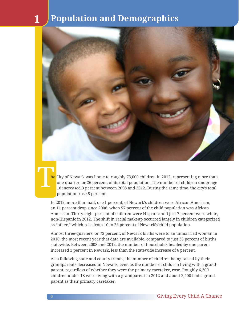

**The** 

he City of Newark was home to roughly 73,000 children in 2012, representing more than one-quarter, or 26 percent, of its total population. The number of children under age 18 increased 3 percent between 2008 and 2012. During the same time, the city's total population rose 5 percent.

In 2012, more than half, or 51 percent, of Newark's children were African American, an 11 percent drop since 2008, when 57 percent of the child population was African American. Thirty-eight percent of children were Hispanic and just 7 percent were white, non-Hispanic in 2012. The shift in racial makeup occurred largely in children categorized as "other," which rose from 10 to 23 percent of Newark's child population.

Almost three-quarters, or 73 percent, of Newark births were to an unmarried woman in 2010, the most recent year that data are available, compared to just 36 percent of births statewide. Between 2008 and 2012, the number of households headed by one parent increased 2 percent in Newark, less than the statewide increase of 6 percent.

Also following state and county trends, the number of children being raised by their grandparents decreased in Newark, even as the number of children living with a grandparent, regardless of whether they were the primary caretaker, rose. Roughly 6,300 children under 18 were living with a grandparent in 2012 and about 2,400 had a grandparent as their primary caretaker.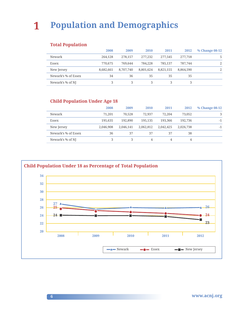#### **Total Population**

|                     | 2008      | 2009      | 2010      | 2011      | 2012      | % Change 08-12 |
|---------------------|-----------|-----------|-----------|-----------|-----------|----------------|
| Newark              | 264,128   | 278,157   | 277,232   | 277,545   | 277,718   | 5.             |
| Essex               | 770,675   | 769.644   | 784,228   | 785.137   | 787,744   | 2              |
| New Jersey          | 8,682,661 | 8,707,740 | 8,801,624 | 8,821,155 | 8,864,590 | $\mathcal{L}$  |
| Newark's % of Essex | 34        | 36        | 35        | 35        | 35        |                |
| Newark's % of NJ    |           |           |           |           |           |                |

#### **Child Population Under Age 18**

|                     | 2008      | 2009      | 2010      | 2011      | 2012      | % Change 08-12 |
|---------------------|-----------|-----------|-----------|-----------|-----------|----------------|
| Newark              | 71.201    | 70.528    | 72,937    | 72,204    | 73,052    | 3              |
| Essex               | 195.635   | 192,890   | 195.135   | 193,366   | 192,736   | $-1$           |
| New Jersey          | 2.046.908 | 2.046.141 | 2,062,812 | 2.042.425 | 2,026,738 | $-1$           |
| Newark's % of Essex | 36        | 37        | 37        | 37        | 38        |                |
| Newark's % of NJ    | 3         | 3         | 4         | 4         | 4         |                |

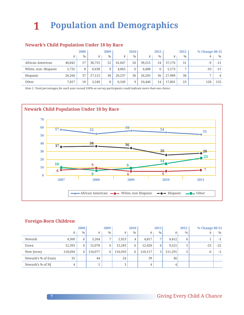#### **Newark's Child Population Under 18 by Race**

|                     |        | 2008          |        | 2009          |        | 2010 |        | 2011 |        | 2012          | % Change 08-12 |                |
|---------------------|--------|---------------|--------|---------------|--------|------|--------|------|--------|---------------|----------------|----------------|
|                     | #      | $\frac{0}{0}$ | #      | $\frac{0}{0}$ | #      | $\%$ | #      | $\%$ | #      | $\frac{0}{0}$ | #              | $\frac{0}{0}$  |
| African American    | 40,842 | 57            | 36,755 | 52            | 41,047 | 56   | 39,215 | 54   | 37,176 | 51            | $-9$           | $-11$          |
| White, non-Hispanic | 5.732  | 8             | 6.638  | 9             | 4.065  | 6    | 4.488  | 6    | 5.173  | ⇁             | $-10$          | $-11$          |
| Hispanic            | 26,166 | 37            | 27,115 | 38            | 26,237 | 36   | 26,295 | 36   | 27,989 | 38            | $\overline{ }$ | $\overline{4}$ |
| Other               | 7,457  | 10            | 5.549  | 8             | 6,549  | 9    | 10.440 | 14   | 17.001 | 23            | 128            | 133            |

*Note 1: Total percentages for each year exceed 100% as survey participants could indicate more than one choice.*



#### **Foreign-Born Children**

|                     |         | 2008          | 2009    |                | 2010    |      | 2011    |                | 2012    |      | % Change 08-12 |       |
|---------------------|---------|---------------|---------|----------------|---------|------|---------|----------------|---------|------|----------------|-------|
|                     | #       | $\frac{0}{0}$ | #       | $\frac{0}{0}$  | #       | $\%$ | #       | $\frac{0}{0}$  | #       | $\%$ | #              | $\%$  |
| Newark              | 4,360   | 6             | 5.264   | $\overline{ }$ | 2,923   | 4    | 4,817   | $\overline{ }$ | 4,412   | 6    |                | $-1$  |
| Essex               | 12,393  | 6             | 12,078  | 6              | 12,283  | 6    | 12,428  | 6              | 9,521   | 5    | $-23$          | $-22$ |
| New Jersey          | 118,694 | 6             | 116,077 | 6              | 116,910 | 6    | 110,117 | 5              | 111,291 | 5    | $-6$           | $-5$  |
| Newark's % of Essex | 35      |               | 44      |                | 24      |      | 39      |                | 46      |      |                |       |
| Newark's % of NJ    | 4       |               | 5       |                | 3       |      | 4       |                | 4       |      |                |       |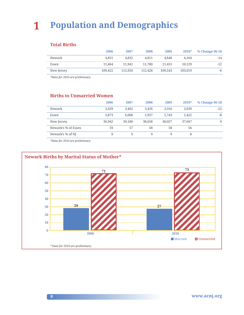#### **Total Births**

|            | 2006    | 2007    | 2008    | 2009    | $2010*$ | % Change 06-10 |
|------------|---------|---------|---------|---------|---------|----------------|
| Newark     | 4.851   | 4.832   | 4.811   | 4.648   | 4.164   | $-14$          |
| Essex      | 11.464  | 11.941  | 11.780  | 11.455  | 10.129  | $-12$          |
| New Jersey | 109,422 | 115.920 | 112,428 | 109.543 | 103,019 | -6             |

*\*Data for 2010 are preliminary.*

#### **Births to Unmarried Women**

|                     | 2006   | 2007   | 2008   | 2009   | 2010*  | % Change 06-10 |
|---------------------|--------|--------|--------|--------|--------|----------------|
| Newark              | 3,459  | 3.462  | 3,426  | 3.316  | 3,039  | $-12$          |
| Essex               | 5,873  | 6.068  | 5.937  | 5.743  | 5,422  | -8             |
| New Jersey          | 36,942 | 39,180 | 38,658 | 38,027 | 37,047 | $\Omega$       |
| Newark's % of Essex | 59     | 57     | 58     | 58     | 56     |                |
| Newark's % of NJ    | 9      | 9      | 9      | 9      | 8      |                |

*\*Data for 2010 are preliminary.*

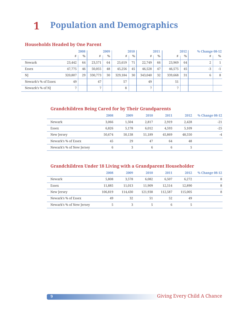#### **Households Headed by One Parent**

|                     | 2008    |      |                | 2009          |         | 2010 |         | 2011          |         | 2012          | % Change 08-12    |      |
|---------------------|---------|------|----------------|---------------|---------|------|---------|---------------|---------|---------------|-------------------|------|
|                     | #       | $\%$ | #              | $\frac{0}{0}$ | #       | $\%$ | #       | $\frac{0}{0}$ | #       | $\frac{0}{0}$ | #                 | $\%$ |
| Newark              | 23,442  | 64   | 23,571         | 64            | 25,619  | 71   | 22,749  | 66            | 23,969  | 64            | <sup>o</sup><br>∠ |      |
| Essex               | 47,775  | 46   | 50,055         | 48            | 45,256  | 45   | 46,528  | 47            | 46,575  | 45            | $-3$              | $-1$ |
| NJ                  | 320,807 | 29   | 330,773        | 30            | 329,184 | 30   | 343,040 | 32            | 339,668 | 31            | 6                 | 8    |
| Newark's % of Essex | 49      |      | 47             |               | 57      |      | 49      |               | 51      |               |                   |      |
| Newark's % of NJ    | 7       |      | $\overline{ }$ |               | 8       |      | 7       |               | 7       |               |                   |      |

#### **Grandchildren Being Cared for by Their Grandparents**

|                          | 2008   | 2009   | 2010   | 2011   | 2012   | % Change 08-12 |
|--------------------------|--------|--------|--------|--------|--------|----------------|
| Newark                   | 3.066  | 1.504  | 2.817  | 2.919  | 2,428  | $-21$          |
| Essex                    | 6,826  | 5.178  | 6.012  | 4.593  | 5,109  | $-25$          |
| New Jersey               | 50.674 | 50,138 | 51,189 | 45,869 | 48,550 | $-4$           |
| Newark's % of Essex      | 45     | 29     | 47     | 64     | 48     |                |
| Newark's % of New Jersey | 6      | 3      | 6      | 6      | 5      |                |

#### **Grandchildren Under 18 Living with a Grandparent Householder**

|                          | 2008    | 2009    | 2010    | 2011    | 2012    | % Change 08-12 |
|--------------------------|---------|---------|---------|---------|---------|----------------|
| Newark                   | 5,808   | 3.578   | 6.082   | 6.507   | 6.272   | 8              |
| Essex                    | 11.885  | 11,013  | 11.909  | 12.514  | 12,890  | 8              |
| New Jersey               | 106,819 | 114,430 | 121.938 | 112.587 | 115,005 | 8              |
| Newark's % of Essex      | 49      | 32      | 51      | 52      | 49      |                |
| Newark's % of New Jersey | 5       | 3       | 5       | 6       | 5       |                |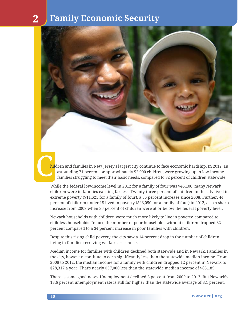

hildren and families in New Jersey's largest city continue to face economic hardship. In 2012, an astounding 71 percent, or approximately 52,000 children, were growing up in low-income families struggling to meet their basic needs, compared to 32 percent of children statewide.

While the federal low-income level in 2012 for a family of four was \$46,100, many Newark children were in families earning far less. Twenty-three percent of children in the city lived in extreme poverty (\$11,525 for a family of four), a 35 percent increase since 2008. Further, 44 percent of children under 18 lived in poverty (\$23,050 for a family of four) in 2012, also a sharp increase from 2008 when 35 percent of children were at or below the federal poverty level.

Newark households with children were much more likely to live in poverty, compared to childless households. In fact, the number of poor households without children dropped 32 percent compared to a 34 percent increase in poor families with children.

Despite this rising child poverty, the city saw a 14 percent drop in the number of children living in families receiving welfare assistance.

Median income for families with children declined both statewide and in Newark. Families in the city, however, continue to earn significantly less than the statewide median income. From 2008 to 2012, the median income for a family with children dropped 12 percent in Newark to \$28,317 a year. That's nearly \$57,000 less than the statewide median income of \$85,185.

There is some good news. Unemployment declined 3 percent from 2009 to 2013. But Newark's 13.6 percent unemployment rate is still far higher than the statewide average of 8.1 percent.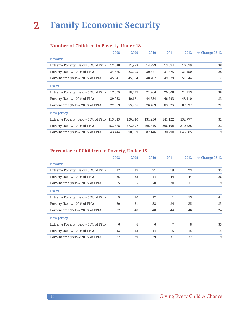#### **Number of Children in Poverty, Under 18**

|                                    | 2008    | 2009    | 2010    | 2011    | 2012    | % Change 08-12 |
|------------------------------------|---------|---------|---------|---------|---------|----------------|
| <b>Newark</b>                      |         |         |         |         |         |                |
| Extreme Poverty (Below 50% of FPL) | 12,040  | 11,983  | 14,799  | 13,574  | 16,619  | 38             |
| Poverty (Below 100% of FPL)        | 24.665  | 23,205  | 30,571  | 31,375  | 31,450  | 28             |
| Low-Income (Below 200% of FPL)     | 45,941  | 45,064  | 48,402  | 49,579  | 51,544  | 12             |
| <b>Essex</b>                       |         |         |         |         |         |                |
| Extreme Poverty (Below 50% of FPL) | 17,609  | 18,457  | 21,966  | 20,308  | 24,213  | 38             |
| Poverty (Below 100% of FPL)        | 39,053  | 40,171  | 44,524  | 46,293  | 48,110  | 23             |
| Low-Income (Below 200% of FPL)     | 72,053  | 75,736  | 76,469  | 83,625  | 87,637  | 22             |
| <b>New Jersey</b>                  |         |         |         |         |         |                |
| Extreme Poverty (Below 50% of FPL) | 115.645 | 120,840 | 131,256 | 141,122 | 152,777 | 32             |
| Poverty (Below 100% of FPL)        | 253,378 | 272,697 | 295,346 | 296,198 | 310,226 | 22             |
| Low-Income (Below 200% of FPL)     | 543,444 | 590.859 | 582,146 | 630,790 | 645.985 | 19             |

#### **Percentage of Children in Poverty, Under 18**

|                                    | 2008 | 2009            | 2010 | 2011 | 2012 | % Change 08-12 |
|------------------------------------|------|-----------------|------|------|------|----------------|
| <b>Newark</b>                      |      |                 |      |      |      |                |
| Extreme Poverty (Below 50% of FPL) | 17   | 17              | 21   | 19   | 23   | 35             |
| Poverty (Below 100% of FPL)        | 35   | 33              | 44   | 44   | 44   | 26             |
| Low-Income (Below 200% of FPL)     | 65   | 65              | 70   | 70   | 71   | 9              |
| <b>Essex</b>                       |      |                 |      |      |      |                |
| Extreme Poverty (Below 50% of FPL) | 9    | 10 <sup>1</sup> | 12   | 11   | 13   | 44             |
| Poverty (Below 100% of FPL)        | 20   | 21              | 23   | 24   | 25   | 25             |
| Low-Income (Below 200% of FPL)     | 37   | 40              | 40   | 44   | 46   | 24             |
| <b>New Jersey</b>                  |      |                 |      |      |      |                |
| Extreme Poverty (Below 50% of FPL) | 6    | 6               | 6    | 7    | 8    | 33             |
| Poverty (Below 100% of FPL)        | 13   | 13              | 14   | 15   | 15   | 15             |
| Low-Income (Below 200% of FPL)     | 27   | 29              | 29   | 31   | 32   | 19             |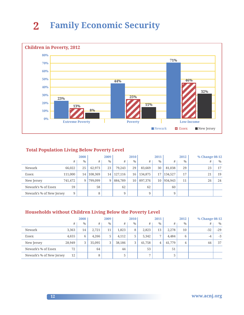

#### **Total Population Living Below Poverty Level**

|                          |         | 2008          |         | 2009          |         | 2010 |         | 2011          |         | 2012          | % Change 08-12 |               |
|--------------------------|---------|---------------|---------|---------------|---------|------|---------|---------------|---------|---------------|----------------|---------------|
|                          | #       | $\frac{0}{0}$ | #       | $\frac{0}{0}$ | #       | $\%$ | #       | $\frac{0}{0}$ | #       | $\frac{0}{0}$ | #              | $\frac{0}{0}$ |
| Newark                   | 66,022  | 25            | 62.973  | 23            | 79.243  | 29   | 83,669  | 30            | 81,038  | 29            | 23             | 17            |
| Essex                    | 111,000 | 14            | 108,369 | 14            | 127,116 | 16   | 134,875 | 17            | 134,527 | 17            | 21             | 19            |
| New Jersey               | 741,472 | 9             | 799.099 | 9             | 884,789 | 10   | 897,376 | 10            | 934,943 | 11            | 26             | 24            |
| Newark's % of Essex      | 59      |               | 58      |               | 62      |      | 62      |               | 60      |               |                |               |
| Newark's % of New Jersey | 9       |               | 8       |               | 9       |      | 9       |               | 9       |               |                |               |

#### **Households without Children Living Below the Poverty Level**

|                          | 2008   |      | 2009   |               |        | 2010 |                | 2011           |        | 2012 | % Change 08-12 |       |
|--------------------------|--------|------|--------|---------------|--------|------|----------------|----------------|--------|------|----------------|-------|
|                          | #      | $\%$ | #      | $\frac{0}{0}$ | #      | $\%$ | #              | $\%$           | #      | $\%$ | #              | $\%$  |
| Newark                   | 3.363  | 14   | 2,721  | 11            | 1,823  | 8    | 2.823          | 13             | 2.278  | 10   | $-32$          | $-29$ |
| Essex                    | 4,655  | 6    | 4.266  | 5             | 4,112  | 5    | 5.342          | $\overline{7}$ | 4,484  | 6    | $-4$           | $-3$  |
| New Jersey               | 28,949 | 3    | 35,095 | 3             | 38,186 | 3    | 41,758         | 4              | 41,779 | 4    | 44             | 37    |
| Newark's % of Essex      | 72     |      | 64     |               | 44     |      | 53             |                | 51     |      |                |       |
| Newark's % of New Jersey | 12     |      | 8      |               | 5      |      | $\overline{ }$ |                |        |      |                |       |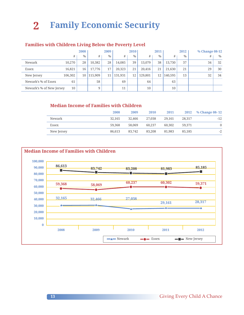#### **Families with Children Living Below the Poverty Level**

|                          |         | 2008          |         | 2009 |         | 2010 |         | 2011 |         | 2012          | % Change 08-12 |      |
|--------------------------|---------|---------------|---------|------|---------|------|---------|------|---------|---------------|----------------|------|
|                          | #       | $\frac{0}{0}$ | #       | $\%$ | #       | $\%$ | #       | $\%$ | #       | $\frac{0}{0}$ | #              | $\%$ |
| Newark                   | 10.270  | 28            | 10,382  | 28   | 14,085  | 39   | 13.079  | 38   | 13,730  | 37            | 34             | 32   |
| Essex                    | 16.821  | 16            | 17.776  | 17   | 20,323  | 21   | 20.416  | 21   | 21.630  | 21            | 29             | 30   |
| New Jersey               | 106,302 | 10            | 115,909 | 11   | 131,931 | 12   | 129,801 | 12   | 140,595 | 13            | 32             | 34   |
| Newark's % of Essex      | 61      |               | 58      |      | 69      |      | 64      |      | 63      |               |                |      |
| Newark's % of New Jersey | 10      |               | 9       |      | 11      |      | 10      |      | 10      |               |                |      |

#### **Median Income of Families with Children**

|            | 2008   | 2009   | <b>2010</b> | 2011   |        | 2012 % Change 08-12 |
|------------|--------|--------|-------------|--------|--------|---------------------|
| Newark     | 32,165 | 32,466 | 27,038      | 29,161 | 28.317 | $-12$               |
| Essex      | 59,368 | 58,069 | 60,237      | 60,302 | 59,371 | $\Omega$            |
| New Jersey | 86.613 | 83.742 | 83,208      | 81.983 | 85,185 | -2                  |

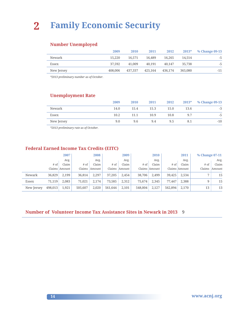#### **Number Unemployed**

|            | 2009    | 2010    | 2011    | 2012    | $2013*$ | % Change 09-13 |
|------------|---------|---------|---------|---------|---------|----------------|
| Newark     | 15.220  | 16.571  | 16,489  | 16.265  | 14.514  | -5             |
| Essex      | 37.592  | 41,009  | 40.191  | 40.147  | 35,738  | $-5$           |
| New Jersey | 408,006 | 437.337 | 425.164 | 436,174 | 365.080 | -11            |
|            |         |         |         |         |         |                |

*\*2013 preliminary number as of October.*

#### **Unemployment Rate**

|            | 2009 | 2010 | 2011 | 2012 | $2013*$ | % Change 09-13 |
|------------|------|------|------|------|---------|----------------|
| Newark     | 14.0 | 15.4 | 15.3 | 15.0 | 13.6    | -3             |
| Essex      | 10.2 | 11.1 | 10.9 | 10.8 | 9.7     | $-5$           |
| New Jersey | 9.0  | 9.6  | 9.4  | 9.5  | 8.1     | $-10$          |

*\*2013 preliminary rate as of October.*

#### **Federal Earned Income Tax Credits (EITC)**

|            |         | 2007          |         | 2008   |         | 2009          |         | 2010          |         | 2011          | % Change 07-11 |        |
|------------|---------|---------------|---------|--------|---------|---------------|---------|---------------|---------|---------------|----------------|--------|
|            |         | Avg.          |         | Avg.   |         | Avg.          |         | Avg.          |         | Avg.          |                | Avg.   |
|            | # of    | Claim         | # of    | Claim  | # of    | Claim         | # of    | Claim         | # of    | Claim         | $#$ of         | Claim  |
|            |         | Claims Amount | Claims  | Amount |         | Claims Amount |         | Claims Amount |         | Claims Amount | Claims         | Amount |
| Newark     | 36,829  | 2.199         | 36,814  | 2.297  | 37,205  | 2.454         | 38,706  | 2.499         | 39,425  | 2,534         | $\overline{ }$ | 15     |
| Essex      | 71,119  | 2.083         | 71.021  | 2.174  | 73.585  | 2.312         | 75.674  | 2.345         | 77.447  | 2.388         | 9              | 15     |
| New Jersey | 498,013 | 1,921         | 505,607 | 2,020  | 561,644 | 2,101         | 548,004 | 2,127         | 562,894 | 2,170         | 13             | 13     |

#### **Number of Volunteer Income Tax Assistance Sites in Newark in 2013** 9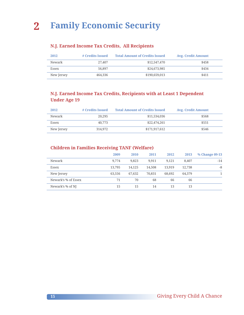#### **N.J. Earned Income Tax Credits, All Recipients**

| 2012       | # Credits Issued | <b>Total Amount of Credits Issued</b> | <b>Avg. Credit Amount</b> |
|------------|------------------|---------------------------------------|---------------------------|
| Newark     | 27,407           | \$12,547,470                          | \$458                     |
| Essex      | 56,897           | \$24,673,985                          | \$434                     |
| New Jersey | 464.336          | \$190,659,013                         | \$411                     |

#### **N.J. Earned Income Tax Credits, Recipients with at Least 1 Dependent Under Age 19**

| 2012       | # Credits Issued | <b>Total Amount of Credits Issued</b> | Avg. Credit Amount |
|------------|------------------|---------------------------------------|--------------------|
| Newark     | 20,295           | \$11.534.036                          | \$568              |
| Essex      | 40.773           | \$22,474,261                          | \$551              |
| New Jersey | 314,972          | \$171,917,612                         | \$546              |

#### **Children in Families Receiving TANF (Welfare)**

|                     | 2009   | 2010   | 2011   | 2012   | 2013   | % Change 09-13 |
|---------------------|--------|--------|--------|--------|--------|----------------|
| Newark              | 9.774  | 9,823  | 9.911  | 9.121  | 8.407  | $-14$          |
| Essex               | 13,795 | 14,125 | 14,508 | 13,919 | 12,738 | -8             |
| New Jersey          | 63.556 | 67.632 | 70,831 | 68.692 | 64,379 |                |
| Newark's % of Essex | 71     | 70     | 68     | 66     | 66     |                |
| Newark's % of NJ    | 15     | 15     | 14     | 13     | 13     |                |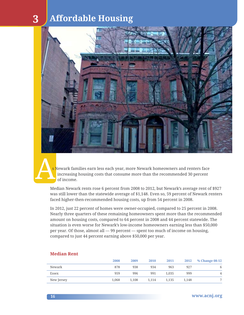### **3 Affordable Housing**



<mark>s </mark>Newark families earn less each year, more Newark homeowners and renters face increasing housing costs that consume more than the recommended 30 percent of income.

Median Newark rents rose 6 percent from 2008 to 2012, but Newark's average rent of \$927 was still lower than the statewide average of \$1,148. Even so, 59 percent of Newark renters faced higher-then-recommended housing costs, up from 54 percent in 2008.

In 2012, just 22 percent of homes were owner-occupied, compared to 25 percent in 2008. Nearly three quarters of these remaining homeowners spent more than the recommended amount on housing costs, compared to 64 percent in 2008 and 44 percent statewide. The situation is even worse for Newark's low-income homeowners earning less than \$50,000 per year. Of those, almost all — 99 percent — spent too much of income on housing, compared to just 44 percent earning above \$50,000 per year.

|            | 2008  | 2009  | 2010  | 2011  | 2012  | % Change 08-12 |
|------------|-------|-------|-------|-------|-------|----------------|
| Newark     | 878   | 938   | 934   | 963   | 927   | 6              |
| Essex      | 959   | 996   | 991   | 1.035 | 999   | 4              |
| New Jersey | 1.068 | 1.108 | 1.114 | 1.135 | 1.148 |                |

#### **Median Rent**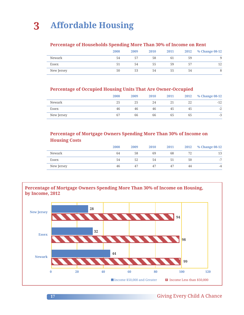#### **Percentage of Households Spending More Than 30% of Income on Rent**

|            | 2008 | 2009 | 2010 | 2011 | 2012 | % Change 08-12 |
|------------|------|------|------|------|------|----------------|
| Newark     | 54   | 57   | 58   | 61   | 59   | 9              |
| Essex      | 51   | 54   | 55   | 59   | 57   | 12             |
| New Jersey | 50   | 53   | 54   | 55   | 54   | 8              |

#### **Percentage of Occupied Housing Units That Are Owner-Occupied**

|            | 2008 | 2009 | 2010 | 2011 | 2012 | % Change 08-12 |
|------------|------|------|------|------|------|----------------|
| Newark     | 25   | 25   | 24   |      | 22   | $-12$          |
| Essex      | 46   | 46   | 46   | 45   | 45   | $-2$           |
| New Jersey | 67   | 66   | 66   | 65   | 65   | $-3$           |

#### **Percentage of Mortgage Owners Spending More Than 30% of Income on Housing Costs**

|            | 2008 | 2009 | 2010 | 2011 | 2012 | % Change 08-12 |
|------------|------|------|------|------|------|----------------|
| Newark     | 64   | 58   | 69   | 68   |      | 13             |
| Essex      | 54   | 52   | 54   | 51   | 50   | $-1$           |
| New Jersey | 46   | 47   | 47   | 47   | 44   | $-4$           |

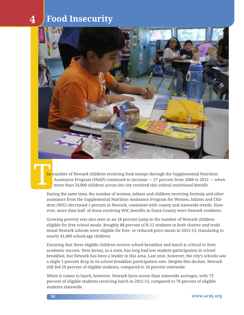### **4 Food Insecurity**



**The** he number of Newark children receiving food stamps through the Supplemental Nutrition Assistance Program (SNAP) continued to increase — 27 percent from 2008 to 2012 — when more than 34,000 children across the city received this critical nutritional benefit.

During the same time, the number of women, infants and children receiving formula and other assistance from the Supplemental Nutrition Assistance Program for Women, Infants and Children (WIC) decreased 1 percent in Newark, consistent with county and statewide trends. However, more than half of those receiving WIC benefits in Essex County were Newark residents.

Growing poverty was also seen in an 18 percent jump in the number of Newark children eligible for free school meals. Roughly 88 percent of K-12 students in both charter and traditional Newark schools were eligible for free- or reduced-price meals in 2012-13, translating to nearly 41,000 school-age children.

Ensuring that these eligible children receive school breakfast and lunch is critical to their academic success. New Jersey, as a state, has long had low student participation in school breakfast, but Newark has been a leader in this area. Last year, however, the city's schools saw a slight 1 percent drop in its school breakfast participation rate. Despite this decline, Newark still fed 59 percent of eligible students, compared to 34 percent statewide.

When it comes to lunch, however, Newark fares worse than statewide averages, with 73 percent of eligible students receiving lunch in 2012-13, compared to 78 percent of eligible students statewide.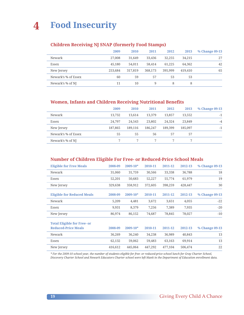### **4 Food Insecurity**

#### **Children Receiving NJ SNAP (formerly Food Stamps)**

|                     | 2009    | 2010    | 2011    | 2012    | 2013    | % Change 09-13 |
|---------------------|---------|---------|---------|---------|---------|----------------|
| Newark              | 27,008  | 31,649  | 33.436  | 32,255  | 34,215  | 27             |
| Essex               | 45,180  | 54,011  | 58,414  | 61,225  | 64.362  | 42             |
| New Jersey          | 253.684 | 317,819 | 368,173 | 395.999 | 419,410 | 65             |
| Newark's % of Essex | 60      | 59      | 57      | 53      | 53      |                |
| Newark's % of NJ    | 11      | 10      | 9       | 8       | 8       |                |

#### **Women, Infants and Children Receiving Nutritional Benefits**

|                     | 2009    | 2010    | 2011    | 2012    | 2013    | % Change 09-13 |
|---------------------|---------|---------|---------|---------|---------|----------------|
| Newark              | 13,732  | 13.614  | 13,379  | 13,857  | 13.552  | $-1$           |
| Essex               | 24,797  | 24.543  | 23,802  | 24,324  | 23,849  | $-4$           |
| New Jersey          | 187,865 | 189,116 | 186,247 | 189,399 | 185,097 | $-1$           |
| Newark's % of Essex | 55      | 55      | 56      | 57      | 57      |                |
| Newark's % of NJ    |         |         |         |         |         |                |

#### **Number of Children Eligible For Free- or Reduced-Price School Meals**

| <b>Eligible for Free Meals</b>                                   | 2008-09 | $2009 - 10*$ | 2010-11 | 2011-12 | 2012-13 | % Change 09-13 |
|------------------------------------------------------------------|---------|--------------|---------|---------|---------|----------------|
| Newark                                                           | 31,060  | 31,759       | 30,566  | 33,338  | 36,788  | 18             |
| Essex                                                            | 52,201  | 50,683       | 52,227  | 55,774  | 61,979  | 19             |
| New Jersey                                                       | 329,638 | 358,912      | 372,605 | 398,259 | 428,447 | 30             |
| <b>Eligible for Reduced Meals</b>                                | 2008-09 | $2009 - 10*$ | 2010-11 | 2011-12 | 2012-13 | % Change 09-13 |
| Newark                                                           | 5,209   | 4,481        | 3,672   | 3,651   | 4,055   | $-22$          |
| Essex                                                            | 9,931   | 8,379        | 7,256   | 7,389   | 7,935   | $-20$          |
| New Jersey                                                       | 86,974  | 86,152       | 74,687  | 78,845  | 78,027  | $-10$          |
| <b>Total Eligible for Free- or</b><br><b>Reduced-Price Meals</b> | 2008-09 | $2009 - 10*$ | 2010-11 | 2011-12 | 2012-13 | % Change 09-13 |
| Newark                                                           | 36,269  | 36,240       | 34,238  | 36,989  | 40,843  | 13             |
| Essex                                                            | 62,132  | 59,062       | 59,483  | 63,163  | 69,914  | 13             |
| New Jersey                                                       | 416,612 | 445,064      | 447,292 | 477,104 | 506,474 | 22             |

*\* For the 2009-10 school year, the number of students eligible for free- or reduced-price school lunch for Gray Charter School,* 

*Discovery Charter School and Newark Educators Charter school were left blank in the Department of Education enrollment data.*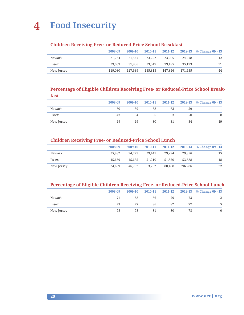

#### **Children Receiving Free- or Reduced-Price School Breakfast**

|            | 2008-09 | 2009-10 |         |         |         | 2010-11 2011-12 2012-13 % Change 09 - 13 |
|------------|---------|---------|---------|---------|---------|------------------------------------------|
| Newark     | 21,764  | 21.547  | 23.292  | 23,205  | 24.278  | 12                                       |
| Essex      | 29.039  | 31,836  | 33.347  | 33.185  | 35.193  | 21                                       |
| New Jersey | 119.030 | 127.939 | 135,813 | 147.846 | 171.555 | 44                                       |

#### **Percentage of Eligible Children Receiving Free- or Reduced-Price School Breakfast**

|            | 2008-09 | 2009-10 |    |    |    | 2010-11 2011-12 2012-13 % Change 09 - 13 |
|------------|---------|---------|----|----|----|------------------------------------------|
| Newark     | 60      | 59      | 68 | 63 | 59 |                                          |
| Essex      | 47      | 54      | 56 | 53 | 50 |                                          |
| New Jersey | 29      | 29      | 30 |    | 34 | 19                                       |

#### **Children Receiving Free- or Reduced-Price School Lunch**

|            | 2008-09 | 2009-10 | 2010-11 | 2011-12 |         | 2012-13 % Change 09 - 13 |
|------------|---------|---------|---------|---------|---------|--------------------------|
| Newark     | 25,882  | 24.773  | 29.441  | 29.294  | 29,856  | 15                       |
| Essex      | 45.659  | 45.635  | 51,210  | 51,550  | 53,888  | 18                       |
| New Jersey | 324,699 | 346,762 | 363.262 | 380,488 | 396,286 | 22                       |

#### **Percentage of Eligible Children Receiving Free- or Reduced-Price School Lunch**

|            | 2008-09 | 2009-10 |    |    |    | 2010-11 2011-12 2012-13 % Change 09 - 13 |
|------------|---------|---------|----|----|----|------------------------------------------|
| Newark     | 71      | 68      | 86 | 79 |    |                                          |
| Essex      | 73      |         | 86 | 82 |    |                                          |
| New Jersey | 78      | 78      | 81 | 80 | 78 |                                          |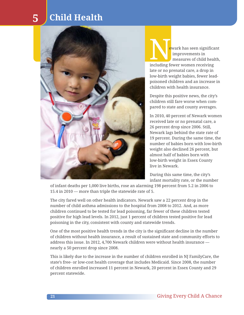### **5 Child Health**



ewark has seen significant improvements in measures of child health, including fewer women receiving late or no prenatal care, a drop in low-birth weight babies, fewer leadpoisoned children and an increase in children with health insurance. Newar<br>
importance important in the same of the same of the same of the same of the same of the same of the same of the same of the same of the same of the same of the same of the same of the same of the same of the same of

Despite this positive news, the city's children still fare worse when compared to state and county averages.

In 2010, 40 percent of Newark women received late or no prenatal care, a 26 percent drop since 2006. Still, Newark lags behind the state rate of 19 percent. During the same time, the number of babies born with low-birth weight also declined 26 percent, but almost half of babies born with low-birth weight in Essex County live in Newark.

During this same time, the city's infant mortality rate, or the number

of infant deaths per 1,000 live births, rose an alarming 198 percent from 5.2 in 2006 to 15.4 in 2010 — more than triple the statewide rate of 5.

The city fared well on other health indicators. Newark saw a 22 percent drop in the number of child asthma admissions to the hospital from 2008 to 2012. And, as more children continued to be tested for lead poisoning, far fewer of these children tested positive for high lead levels. In 2012, just 1 percent of children tested positive for lead poisoning in the city, consistent with county and statewide trends.

One of the most positive health trends in the city is the significant decline in the number of children without health insurance, a result of sustained state and community efforts to address this issue. In 2012, 4,700 Newark children were without health insurance nearly a 50 percent drop since 2008.

This is likely due to the increase in the number of children enrolled in NJ FamilyCare, the state's free- or low-cost health coverage that includes Medicaid. Since 2008, the number of children enrolled increased 11 percent in Newark, 20 percent in Essex County and 29 percent statewide.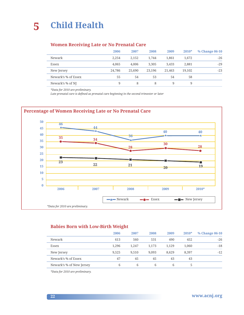#### **Women Receiving Late or No Prenatal Care**

|                     | 2006   | 2007   | 2008   | 2009   | $2010*$ | % Change 06-10 |
|---------------------|--------|--------|--------|--------|---------|----------------|
| Newark              | 2.254  | 2,152  | 1.744  | 1,861  | 1,672   | $-26$          |
| Essex               | 4.065  | 4.006  | 3.305  | 3.433  | 2,881   | $-29$          |
| New Jersey          | 24,786 | 25,690 | 23,196 | 21,463 | 19,102  | $-23$          |
| Newark's % of Essex | 55     | 54     | 53     | 54     | 58      |                |
| Newark's % of NJ    | 9      | 8      | 8      | 9      | 9       |                |

*\*Data for 2010 are preliminary.*

*Late prenatal care is defined as prenatal care beginning in the second trimester or later*



#### **Babies Born with Low-Birth Weight**

|                          | 2006  | 2007  | 2008  | 2009  | $2010*$ | % Change 06-10 |
|--------------------------|-------|-------|-------|-------|---------|----------------|
| Newark                   | 613   | 560   | 531   | 490   | 452     | $-26$          |
| Essex                    | 1.296 | 1.247 | 1,173 | 1,129 | 1,060   | $-18$          |
| New Jersey               | 9.525 | 9.510 | 9.093 | 8.629 | 8.397   | $-12$          |
| Newark's % of Essex      | 47    | 45    | 45    | 43    | 43      |                |
| Newark's % of New Jersey | 6     | 6     | 6     | 6     | 5       |                |

*\*Data for 2010 are preliminary.*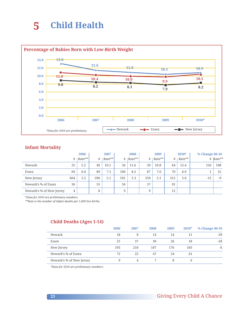### **5 Child Health**



#### **Infant Mortality**

|                          |     | 2006   |     | 2007   |     | 2008         |     | 2009               |     | $2010*$ | % Change 06-10 |          |
|--------------------------|-----|--------|-----|--------|-----|--------------|-----|--------------------|-----|---------|----------------|----------|
|                          | #   | Rate** | #   | Rate** |     | $\#$  Rate** | #   | Rate <sup>**</sup> | #   | Rate**  |                | # Rate** |
| Newark                   | 25  | 5.2    | 49  | 10.1   | 56  | 11.6         | 50  | 10.8               | 64  | 15.4    | 156            | 198      |
| Essex                    | 69  | 6.0    | 89  | 7.5    | 100 | 8.5          | 87  | 7.6                | 70  | 6.9     |                | 15       |
| New Jersey               | 604 | 5.5    | 590 | 5.1    | 591 | 5.3          | 559 | 5.1                | 515 | 5.0     | $-15$          | $-9$     |
| Newark's % of Essex      | 36  |        | 55  |        | 56  |              | 57  |                    | 91  |         |                |          |
| Newark's % of New Jersey | 4   |        | 8   |        | 9   |              | 9   |                    | 12  |         |                |          |

\**Data for 2010 are preliminary numbers.* 

*\*\*Rate is the number of infant deaths per 1,000 live births.*

#### **Child Deaths (Ages 1-14)**

|                          | 2006 | 2007 | 2008 | 2009 | $2010*$ | % Change 06-10 |
|--------------------------|------|------|------|------|---------|----------------|
| Newark                   | 18   | 8    | 14   | 14   | 11      | $-39$          |
| Essex                    | 25   | 37   | 30   | 26   | 18      | $-28$          |
| New Jersey               | 195  | 218  | 187  | 176  | 183     | $-6$           |
| Newark's % of Essex      | 72   | 22   | 47   | 54   | 61      |                |
| Newark's % of New Jersey | 9    | 4    |      | 8    | b       |                |

*\*Data for 2010 are preliminary numbers.*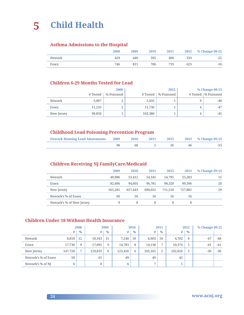## **5 Child Health**

#### **Asthma Admissions to the Hospital**

|        | 2008 | 2009 | 2010 | 2011 | 2012 | % Change 08-12 |
|--------|------|------|------|------|------|----------------|
| Newark | 429  | 440  | 395  | 406  | 333  | $-22$          |
| Essex  | 746  | 811  | 706  | 719  | 623  | $-16$          |

#### **Children 6-29 Months Tested for Lead**

|            |          | 2008       |          | 2012       |   | % Change 08-12        |
|------------|----------|------------|----------|------------|---|-----------------------|
|            | # Tested | % Poisoned | # Tested | % Poisoned |   | # Tested   % Poisoned |
| Newark     | 5.007    | ∠          | 5,435    |            |   | -48                   |
| Essex      | 11.235   | ∠          | 11.730   |            | 4 | $-47$                 |
| New Jersey | 99,856   |            | 103,380  |            | 4 | $-45$                 |

#### **Childhood Lead Poisoning Prevention Program**

| <b>Newark Housing Lead Abatements 2009</b> | 2010 | 2011 | 2012 | 2013 % Change 09-13 |
|--------------------------------------------|------|------|------|---------------------|
|                                            |      |      |      |                     |

#### **Children Receiving NJ FamilyCare/Medicaid**

|                          | 2009    | 2010    | 2011    | 2012    | 2013    | % Change 09-13 |
|--------------------------|---------|---------|---------|---------|---------|----------------|
| Newark                   | 49,986  | 53,412  | 54,345  | 54,795  | 55,283  | 11             |
| Essex                    | 82,686  | 94,605  | 96,781  | 98,320  | 99,396  | 20             |
| New Jersey               | 565,281 | 657,443 | 690,055 | 711.518 | 727,881 | 29             |
| Newark's % of Essex      | 60      | 56      | 56      | 56      | 56      |                |
| Newark's % of New Jersey | 9       | 8       | 8       | 8       | 8       |                |

#### **Children Under 18 Without Health Insurance**

|                     |         | 2008          |         | 2009 |         | 2010 |                | 2011          |         | 2012          |       | % Change 08-12 |  |
|---------------------|---------|---------------|---------|------|---------|------|----------------|---------------|---------|---------------|-------|----------------|--|
|                     | #       | $\frac{0}{0}$ | #       | $\%$ | #       | $\%$ | #              | $\frac{0}{0}$ | #       | $\frac{0}{0}$ |       |                |  |
| Newark              | 8,810   | 12            | 10,343  | 15   | 7.240   | 10   | 6,903          | 10            | 4,702   | 6             | $-47$ | -48            |  |
| Essex               | 17,730  | 9             | 17,092  | 9    | 14,783  | 8    | 14,138         | 7             | 10,374  | 5             | $-41$ | $-41$          |  |
| New Jersey          | 147,720 | $\mathbf{r}$  | 129,835 | 6    | 123,456 | 6    | 105,165        | 5             | 102,816 | 5             | $-30$ | $-30$          |  |
| Newark's % of Essex | 50      |               | 61      |      | 49      |      | 49             |               | 45      |               |       |                |  |
| Newark's % of NJ    | 6       |               | 8       |      | 6       |      | $\overline{ }$ |               | 5       |               |       |                |  |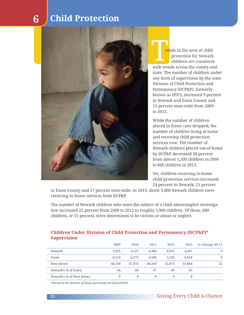### **6 Child Protection**



rends in the area of child protection for Newark children are consistent with trends across the county and state. The number of children under any form of supervision by the state Division of Child Protection and Permanency (DCP&P), formerly known as DYFS, increased 9 percent in Newark and Essex County and 12 percent state-wide from 2009 to 2013. **The Contract of the Contract of the Contract of the Contract of the Contract of the Contract of the Contract of the Contract of the Contract of the Contract of the Contract of the Contract of the Contract of the Contract** 

While the number of children placed in foster care dropped, the number of children living at home and receiving child protection services rose. The number of Newark children placed out-of-home by DCP&P decreased 26 percent from almost 1,200 children in 2009 to 866 children in 2013.

Yet, children receiving in-home child protection services increased 24 percent in Newark, 21 percent

in Essex County and 17 percent state-wide. In 2013, about 3,400 Newark children were receiving in-home services from DCP&P.

The number of Newark children who were the subject of a child abuse/neglect investigation increased 22 percent from 2008 to 2012 to roughly 5,900 children. Of those, 680 children, or 11 percent, were determined to be victims or abuse or neglect.

#### **Children Under Division of Child Protection and Permanency (DCP&P)\* Supervision**

|                          | 2009   | 2010   | 2011   | 2012   | 2013   | % Change 09-13 |
|--------------------------|--------|--------|--------|--------|--------|----------------|
| Newark                   | 3.935  | 4.127  | 4.360  | 4.931  | 4.287  | 9              |
| Essex                    | 6.114  | 6.273  | 6.500  | 7.195  | 6.634  | 9              |
| New Jersey               | 46,139 | 47,976 | 48.318 | 52,873 | 51,864 | 12             |
| Newark's % of Essex      | 64     | 66     | 67     | 69     | 65     |                |
| Newark's % of New Jersey | 9      | 9      | 9      | 9      | 8      |                |

*\*Formerly the Division of Youth and Family Services (DYFS).*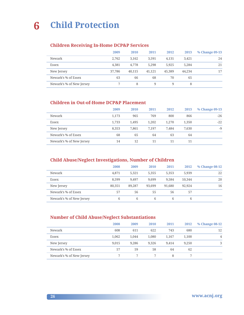## **6 Child Protection**

#### **Children Receiving In-Home DCP&P Services**

|                          | 2009   | 2010   | 2011   | 2012   | 2013   | % Change 09-13 |
|--------------------------|--------|--------|--------|--------|--------|----------------|
| Newark                   | 2.762  | 3.162  | 3.591  | 4.131  | 3.421  | 24             |
| Essex                    | 4.381  | 4.778  | 5.298  | 5.925  | 5,284  | 21             |
| New Jersey               | 37,786 | 40.115 | 41,121 | 45,389 | 44,234 | 17             |
| Newark's % of Essex      | 63     | 66     | 68     | 70     | 65     |                |
| Newark's % of New Jersey |        | 8      | 9      | 9      | 8      |                |

#### **Children in Out-of-Home DCP&P Placement**

|                          | 2009  | 2010  | 2011  | 2012  | 2013  | % Change 09-13 |
|--------------------------|-------|-------|-------|-------|-------|----------------|
| Newark                   | 1.173 | 965   | 769   | 800   | 866   | $-26$          |
| Essex                    | 1.733 | 1.495 | 1.202 | 1,270 | 1,350 | $-22$          |
| New Jersey               | 8.353 | 7.861 | 7.197 | 7.484 | 7.630 | $-9$           |
| Newark's % of Essex      | 68    | 65    | 64    | 63    | 64    |                |
| Newark's % of New Jersey | 14    | 12    | 11    | 11    | 11    |                |

#### **Child Abuse/Neglect Investigations, Number of Children**

|                          | 2008   | 2009   | 2010   | 2011   | 2012   | % Change 08-12 |
|--------------------------|--------|--------|--------|--------|--------|----------------|
| Newark                   | 4.871  | 5.321  | 5,355  | 5,353  | 5,939  | 22             |
| Essex                    | 8.599  | 9.497  | 9.699  | 9.584  | 10.344 | 20             |
| New Jersey               | 80,351 | 89,287 | 93.699 | 91.680 | 92.924 | 16             |
| Newark's % of Essex      | 57     | 56     | 55     | 56     | 57     |                |
| Newark's % of New Jersey | 6      | 6      | 6      | 6      | 6      |                |

#### **Number of Child Abuse/Neglect Substantiations**

|                          | 2008  | 2009  | <b>2010</b> | 2011  | 2012  | % Change 08-12 |
|--------------------------|-------|-------|-------------|-------|-------|----------------|
| Newark                   | 608   | 611   | 622         | 743   | 680   | 12             |
| Essex                    | 1.062 | 1.044 | 1.080       | 1.167 | 1.100 | $\overline{4}$ |
| New Jersey               | 9,015 | 9.286 | 9.326       | 9.414 | 9.250 | 3              |
| Newark's % of Essex      | 57    | 59    | 58          | 64    | 62    |                |
| Newark's % of New Jersey |       |       |             | 8     |       |                |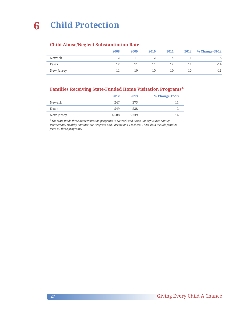#### **Child Abuse/Neglect Substantiation Rate**

|            | 2008 | 2009 | 2010 | 2011 | 2012 | % Change 08-12 |
|------------|------|------|------|------|------|----------------|
| Newark     | 12   | 11   | 12   | 14   | 11   | -8             |
| Essex      | 12   | 11   | 11   | 12   | 11   | $-14$          |
| New Jersey | 11   | 10   | 10   | 10   | 10   | $-11$          |

#### **Families Receiving State-Funded Home Visitation Programs\***

| 2012  | 2013  | % Change 12-13           |
|-------|-------|--------------------------|
| 2.47  | 2.73  |                          |
| 549   | 538   | $\overline{\phantom{a}}$ |
| 4.688 | 5.339 |                          |
|       |       |                          |

\**The state funds three home visitation programs in Newark and Essex County: Nurse Family Partnership, Healthy Families-TIP Program and Parents and Teachers. These data include families from all three programs.*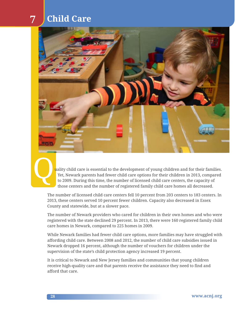## **7 Child Care**



uality child care is essential to the development of young children and for their families. Yet, Newark parents had fewer child care options for their children in 2013, compared to 2009. During this time, the number of licensed child care centers, the capacity of those centers and the number of registered family child care homes all decreased.

The number of licensed child care centers fell 10 percent from 203 centers to 183 centers. In 2013, these centers served 10 percent fewer children. Capacity also decreased in Essex County and statewide, but at a slower pace.

The number of Newark providers who cared for children in their own homes and who were registered with the state declined 29 percent. In 2013, there were 160 registered family child care homes in Newark, compared to 225 homes in 2009.

While Newark families had fewer child care options, more families may have struggled with affording child care. Between 2008 and 2012, the number of child care subsidies issued in Newark dropped 16 percent, although the number of vouchers for children under the supervision of the state's child protection agency increased 19 percent.

It is critical to Newark and New Jersey families and communities that young children receive high-quality care and that parents receive the assistance they need to find and afford that care.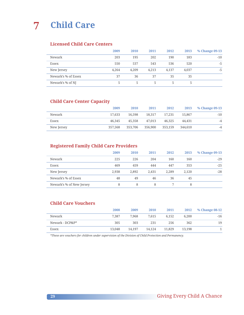**7 Child Care**

#### **Licensed Child Care Centers**

|                     | 2009  | 2010  | 2011  | 2012  | 2013  | % Change 09-13 |
|---------------------|-------|-------|-------|-------|-------|----------------|
| Newark              | 203   | 195   | 202   | 190   | 183   | $-10$          |
| Essex               | 550   | 537   | 543   | 536   | 520   | $-5$           |
| New Jersey          | 4.264 | 4.209 | 4,213 | 4.137 | 4.037 | $-5$           |
| Newark's % of Essex | 37    | 36    | 37    | 35    | 35    |                |
| Newark's % of NJ    |       | 5     | 5     | 5     |       |                |

#### **Child Care Center Capacity**

|            | 2009    | <b>2010</b> | 2011    | 2012    | 2013    | % Change 09-13 |
|------------|---------|-------------|---------|---------|---------|----------------|
| Newark     | 17.633  | 16.598      | 18.317  | 17.231  | 15.867  | $-10$          |
| Essex      | 46,345  | 45,358      | 47,013  | 46.325  | 44.431  | $-4$           |
| New Jersey | 357,568 | 353,706     | 356,900 | 353.159 | 344,610 | $-4$           |

#### **Registered Family Child Care Providers**

|                          | 2009  | 2010  | 2011  | 2012  | 2013  | % Change 09-13 |
|--------------------------|-------|-------|-------|-------|-------|----------------|
| Newark                   | 225   | 226   | 204   | 160   | 160   | $-29$          |
| Essex                    | 469   | 459   | 444   | 447   | 353   | $-25$          |
| New Jersey               | 2.938 | 2.892 | 2,431 | 2.289 | 2.120 | $-28$          |
| Newark's % of Essex      | 48    | 49    | 46    | 36    | 45    |                |
| Newark's % of New Jersey | 8     | 8     | 8     |       | 8     |                |

#### **Child Care Vouchers**

|                 | 2008   | 2009   | 2010   | 2011   | 2012   | % Change 08-12 |
|-----------------|--------|--------|--------|--------|--------|----------------|
| Newark          | 7.387  | 7.968  | 7.615  | 6.152  | 6.200  | $-16$          |
| Newark - DCP&P* | 305    | 303    | 231    | 256    | 362    | 19             |
| Essex           | 13,048 | 14.197 | 14.124 | 11,829 | 13.198 |                |

*\*These are vouchers for children under supervision of the Division of Child Protection and Permanency.*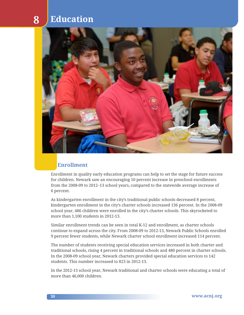

#### **Enrollment**

Enrollment in quality early education programs can help to set the stage for future success for children. Newark saw an encouraging 10 percent increase in preschool enrollments from the 2008-09 to 2012 –13 school years, compared to the statewide average increase of 6 percent.

As kindergarten enrollment in the city's traditional public schools decreased 8 percent, kindergarten enrollment in the city's charter schools increased 136 percent. In the 2008-09 school year, 486 children were enrolled in the city's charter schools. This skyrocketed to more than 1,100 students in 2012-13.

Similar enrollment trends can be seen in total K-12 and enrollment, as charter schools continue to expand across the city. From 2008-09 to 2012-13, Newark Public Schools enrolled 9 percent fewer students, while Newark charter school enrollment increased 114 percent.

The number of students receiving special education services increased in both charter and traditional schools, rising 4 percent in traditional schools and 480 percent in charter schools. In the 2008-09 school year, Newark charters provided special education services to 142 students. This number increased to 823 in 2012-13.

In the 2012-13 school year, Newark traditional and charter schools were educating a total of more than 46,000 children.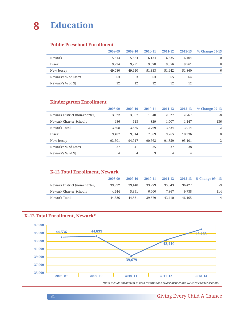#### **Public Preschool Enrollment**

|                     | 2008-09 | 2009-10 | 2010-11 | 2011-12 | 2012-13 | % Change 09-13 |
|---------------------|---------|---------|---------|---------|---------|----------------|
| Newark              | 5.813   | 5.864   | 6.134   | 6.235   | 6.404   | 10             |
| Essex               | 9.234   | 9.291   | 9.678   | 9.656   | 9.961   | 8              |
| New Jersey          | 49,080  | 49,940  | 51,333  | 51,642  | 51,860  | 6              |
| Newark's % of Essex | 63      | 63      | 63      | 65      | 64      |                |
| Newark's % of NJ    | 12      | 12      | 12      | 12      | 12      |                |

#### **Kindergarten Enrollment**

|                               | 2008-09 | 2009-10 | 2010-11 | 2011-12 | 2012-13 | % Change 09-13 |
|-------------------------------|---------|---------|---------|---------|---------|----------------|
| Newark District (non-charter) | 3.022   | 3,067   | 1.940   | 2.627   | 2,767   | $-8$           |
| Newark Charter Schools        | 486     | 618     | 829     | 1,007   | 1,147   | 136            |
| Newark Total                  | 3,508   | 3,685   | 2,769   | 3,634   | 3,914   | 12             |
| Essex                         | 9.487   | 9.014   | 7.969   | 9.765   | 10,236  | 8              |
| New Jersey                    | 93,501  | 94,917  | 90,663  | 91,859  | 95,101  | 2              |
| Newark's % of Essex           | 37      | 41      | 35      | 37      | 38      |                |
| Newark's % of NJ              | 4       | 4       | 3       | 4       | 4       |                |

#### **K-12 Total Enrollment, Newark**

|                               | 2008-09 | 2009-10 | 2010-11 | 2011-12 |        | 2012-13 % Change 09 - 13 |
|-------------------------------|---------|---------|---------|---------|--------|--------------------------|
| Newark District (non-charter) | 39,992  | 39.440  | 33.279  | 35.543  | 36.427 | -9                       |
| Newark Charter Schools        | 4.544   | 5.391   | 6.400   | 7.867   | 9.738  | 114                      |
| Newark Total                  | 44.536  | 44.831  | 39.679  | 43.410  | 46,165 | 4                        |



#### **31** Giving Every Child A Chance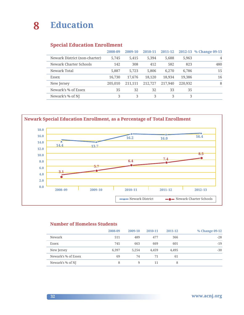#### **Special Education Enrollment**

|                               | 2008-09 | 2009-10 | 2010-11 | 2011-12 |         | 2012-13 % Change 09-13 |
|-------------------------------|---------|---------|---------|---------|---------|------------------------|
| Newark District (non-charter) | 5,745   | 5,415   | 5,394   | 5,688   | 5,963   | 4                      |
| Newark Charter Schools        | 142     | 308     | 412     | 582     | 823     | 480                    |
| Newark Total                  | 5,887   | 5,723   | 5,806   | 6,270   | 6,786   | 15                     |
| Essex                         | 16,730  | 17,676  | 18,120  | 18,934  | 19,386  | 16                     |
| New Jersey                    | 205,010 | 211.111 | 212,727 | 217.940 | 220,932 | 8                      |
| Newark's % of Essex           | 35      | 32      | 32      | 33      | 35      |                        |
| Newark's % of NJ              | 3       | 3       | 3       | 3       | 3       |                        |

**Newark Special Education Enrollment, as a Percentage of Total Enrollment 18.0** ۰Ń **16.0 16.2 16.0 16.4 14.0** Ń **14.4 13.7 12.0 8.510.0** -0 **7.4 6.4 8.0 5.7 6.0 3.1 4.0 2.0 0.0 2008 –09 2009–10 2010–11 2011–12 2012–13** →▲ Newark District → ● Newark Charter Schools

#### **Number of Homeless Students**

|                     | 2008-09 | 2009-10 | 2010-11 | 2011-12 | % Change 09-12 |
|---------------------|---------|---------|---------|---------|----------------|
| Newark              | 511     | 489     | 477     | 366     | $-28$          |
| Essex               | 745     | 663     | 669     | 601     | $-19$          |
| New Jersey          | 6.397   | 5.254   | 4.459   | 4.495   | $-30$          |
| Newark's % of Essex | 69      | 74      | 71      | 61      |                |
| Newark's % of NJ    | 8       | q       | 11      |         |                |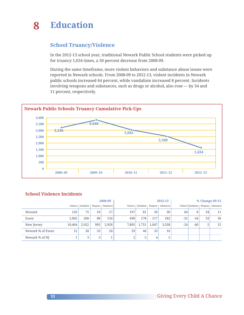#### **School Truancy/Violence**

In the 2012-13 school year, traditional Newark Public School students were picked up for truancy 1,634 times, a 50 percent decrease from 2008-09.

During the same timeframe, more violent behaviors and substance abuse issues were reported in Newark schools. From 2008-09 to 2012-13, violent incidents in Newark public schools increased 64 percent, while vandalism increased 8 percent. Incidents involving weapons and substances, such as drugs or alcohol, also rose — by 34 and 11 percent, respectively.



#### **School Violence Incidents**

|                   | 2008-09 |       |     |                                             | 2012-13 |                                |       |            | % Change 09-13 |                    |    |                      |
|-------------------|---------|-------|-----|---------------------------------------------|---------|--------------------------------|-------|------------|----------------|--------------------|----|----------------------|
|                   |         |       |     | Violence   Vandalism   Weapons   Substances |         | Violence   Vandalism   Weapons |       | Substances |                | Violence Vandalism |    | Weapons   Substances |
| Newark            | 120     | 75    | 29  | 27                                          | 197     | 81                             | 39    | 30         | 64             | 8                  | 34 | 11                   |
| Essex             | 1.002   | 268   | 88  | 134                                         | 690     | 178                            | 117   | 182        | $-31$          | $-34$              | 33 | 36                   |
| New Jersey        | 10,404  | 2,922 | 995 | 2,928                                       | 7,895   | 1,751                          | 1,047 | 3,358      | $-24$          | $-40$              | 5  | 15                   |
| Newark % of Essex | 12      | 28    | 33  | 20                                          | 29      | 46                             | 33    | 16         |                |                    |    |                      |
| Newark % of NJ    | ┸       | 3     | 3   |                                             | $\sim$  | 5                              | 4     |            |                |                    |    |                      |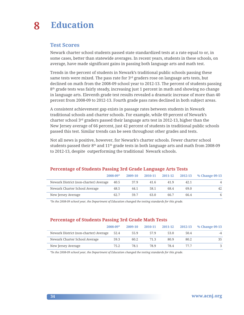#### **Test Scores**

Newark charter school students passed state standardized tests at a rate equal to or, in some cases, better than statewide averages. In recent years, students in these schools, on average, have made significant gains in passing both language arts and math test.

Trends in the percent of students in Newark's traditional public schools passing these same tests were mixed. The pass rate for 3<sup>rd</sup> graders rose on language arts tests, but declined on math from the 2008-09 school year to 2012-13. The percent of students passing  $8<sup>th</sup>$  grade tests was fairly steady, increasing just 1 percent in math and showing no change in language arts. Eleventh grade test results revealed a dramatic increase of more than 40 percent from 2008-09 to 2012-13. Fourth grade pass rates declined in both subject areas.

A consistent achievement gap exists in passage rates between students in Newark traditional schools and charter schools. For example, while 69 percent of Newark's charter school 3rd graders passed their language arts test in 2012-13, higher than the New Jersey average of 66 percent, just 42 percent of students in traditional public schools passed this test. Similar trends can be seen throughout other grades and tests.

Not all news is positive, however, for Newark's charter schools. Fewer charter school students passed their  $8<sup>th</sup>$  and  $11<sup>th</sup>$  grade tests in both language arts and math from 2008-09 to 2012-13, despite outperforming the traditional Newark schools.

|                                       | $2008 - 09*$ | 2009-10 | 2010-11 | 2011-12 | 2012-13 | % Change 09-13 |
|---------------------------------------|--------------|---------|---------|---------|---------|----------------|
| Newark District (non-charter) Average | 40.5         | 37.9    | 41.6    | 41.9    | 42.1    | 4              |
| Newark Charter School Average         | 48.5         | 44.1    | 58.1    | 68.4    | 69.0    | 42             |
| New Jersey Average                    | 62.7         | 59.7    | 63.0    | 66.7    | 66.4    | 6              |

#### **Percentage of Students Passing 3rd Grade Language Arts Tests**

*\*In the 2008-09 school year, the Department of Education changed the testing standards for this grade.*

#### **Percentage of Students Passing 3rd Grade Math Tests**

|                                       | $2008 - 09*$ | 2009-10 | 2010-11 |      | 2011-12 2012-13 | % Change 09-13 |
|---------------------------------------|--------------|---------|---------|------|-----------------|----------------|
| Newark District (non-charter) Average | 52.4         | 55.9    | 57.9    | 53.0 | 50.4            | $-4$           |
| Newark Charter School Average         | 59.3         | 60.2    | 71.3    | 80.9 | 80.2            | 35             |
| New Jersey Average                    | 75.2         | 78.1    | 78.9    | 78.4 | 77 7            |                |

*\*In the 2008-09 school year, the Department of Education changed the testing standards for this grade.*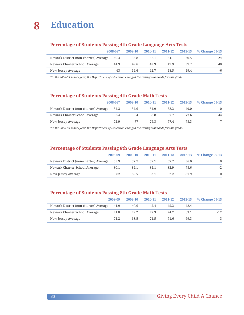

#### **Percentage of Students Passing 4th Grade Language Arts Tests**

|                                       | $2008 - 09*$ | 2009-10 | 2010-11 | 2011-12 2012-13 |      | % Change 09-13 |
|---------------------------------------|--------------|---------|---------|-----------------|------|----------------|
| Newark District (non-charter) Average | 40.3         | 35.8    | 36.1    | 34.1            | 30.5 | $-24$          |
| Newark Charter School Average         | 41.3         | 49.6    | 49.9    | 49.9            | 57.7 | 40             |
| New Jersey Average                    | 63           | 59.6    | 62.7    | 58.5            | 59.4 | -6             |

*\*In the 2008-09 school year, the Department of Education changed the testing standards for this grade.*

#### **Percentage of Students Passing 4th Grade Math Tests**

|                                       | $2008 - 09*$ | 2009-10 | 2010-11 | 2011-12 | 2012-13 | % Change 09-13 |
|---------------------------------------|--------------|---------|---------|---------|---------|----------------|
| Newark District (non-charter) Average | 54.3         | 54.6    | 54.9    | 52.2    | 49.0    | $-10$          |
| Newark Charter School Average         | 54           | 64      | 68.8    | 67.7    | 77 6    | 44             |
| New Jersey Average                    | 72.9         |         | 79.3    | 774     | 78.3    |                |

*\*In the 2008-09 school year, the Department of Education changed the testing standards for this grade.*

#### **Percentage of Students Passing 8th Grade Language Arts Tests**

|                                       | 2008-09 | 2009-10 | 2010-11 | 2011-12 2012-13 |      | % Change 09-13 |
|---------------------------------------|---------|---------|---------|-----------------|------|----------------|
| Newark District (non-charter) Average | 55.9    | 57.7    | 57.1    | 57.7            | 56.0 | $\Omega$       |
| Newark Charter School Average         | 80.1    | 84.1    | 84.1    | 82.9            | 78.6 | $-2$           |
| New Jersey Average                    | 82      | 82.5    | 82.1    | 82.2            | 81.9 |                |

#### **Percentage of Students Passing 8th Grade Math Tests**

|                                            | 2008-09 | 2009-10 | 2010-11 |      | 2011-12 2012-13 | % Change 09-13 |
|--------------------------------------------|---------|---------|---------|------|-----------------|----------------|
| Newark District (non-charter) Average 41.9 |         | 40.6    | 45.4    | 45.2 | 42.4            |                |
| Newark Charter School Average              | 71.8    | 72.2    | 77.3    | 74.2 | 63.1            | $-12$          |
| New Jersey Average                         | 71.2    | 68.5    | 71.5    | 71.6 | 69.3            | $-3$           |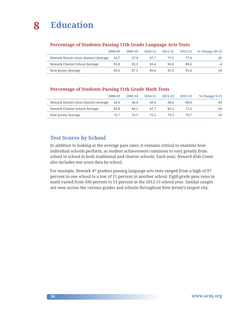

#### **Percentage of Students Passing 11th Grade Language Arts Tests**

|                                       | 2008-09 | 2009-10 | 2010-11 |      | 2011-12 2012-13 | % Change 09-13 |
|---------------------------------------|---------|---------|---------|------|-----------------|----------------|
| Newark District (non-charter) Average | 54.7    | 57.4    | 67.7    | 77.5 | 77.8            | 42             |
| Newark Charter School Average         | 93.8    | 95.1    | 83.4    | 95.0 | 89.6            |                |
| New Jersey Average                    | 83.6    | 87.1    | 89.6    | 91.5 | 91.6            | 10             |

#### **Percentage of Students Passing 11th Grade Math Tests**

|                                       | 2008-09 | 2009-10 | 2010-11 | 2011-12 | 2012-13 | % Change 9-13 |
|---------------------------------------|---------|---------|---------|---------|---------|---------------|
| Newark District (non-charter) Average | 42.6    | 46.4    | 50.6    | 58.6    | 60.8    | 43            |
| Newark Charter School Average         | 93.8    | 84.1    | 47.7    | 81.5    | 71.3    | $-24$         |
| New Jersey Average                    | 72.7    | 74.1    | 75.2    | 79.3    | 79.7    | 10            |

#### **Test Scores by School**

In addition to looking at the average pass rates, it remains critical to examine how individual schools perform, as student achievement continues to vary greatly from school to school in both traditional and charter schools. Each year, *Newark Kids Count* also includes test score data by school.

For example, Newark 4<sup>th</sup> graders passing language arts tests ranged from a high of 97 percent in one school to a low of 11 percent in another school. Eigth grade pass rates in math varied from 100 percent to 11 percent in the 2012-13 school year. Similar ranges are seen across the various grades and schools throughout New Jersey's largest city.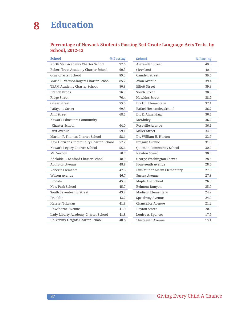#### **Percentage of Newark Students Passing 3rd Grade Language Arts Tests, by School, 2012-13**

| School                                 | % Passing |
|----------------------------------------|-----------|
| North Star Academy Charter School      | 97.6      |
| Robert Treat Academy Charter School    | 90.9      |
| Gray Charter School                    | 89.3      |
| Maria L. Varisco-Rogers Charter School | 85.2      |
| TEAM Academy Charter School            | 80.8      |
| Branch Brook                           | 76.9      |
| <b>Ridge Street</b>                    | 76.4      |
| <b>Oliver Street</b>                   | 75.3      |
| Lafayette Street                       | 69.3      |
| Ann Street                             | 68.5      |
| Newark Educators Community             |           |
| Charter School                         | 64.0      |
| First Avenue                           | 59.1      |
| Marion P. Thomas Charter School        | 58.1      |
| New Horizons Community Charter School  | 57.2      |
| Newark Legacy Charter School           | 55.1      |
| Mt. Vernon                             | 50.7      |
| Adelaide L. Sanford Charter School     | 48.9      |
| Abington Avenue                        | 48.8      |
| Roberto Clemente                       | 47.3      |
| Wilson Avenue                          | 46.7      |
| Lincoln                                | 45.8      |
| New Park School                        | 45.7      |
| South Seventeenth Street               | 43.8      |
| Franklin                               | 42.7      |
| Harriet Tubman                         | 41.9      |
| Hawthorne Avenue                       | 41.9      |
| Lady Liberty Academy Charter School    | 41.8      |
| University Heights Charter School      | 40.8      |

| <b>School</b>               | % Passing |
|-----------------------------|-----------|
| Alexander Street            | 40.0      |
| Cleveland                   | 40.0      |
| Camden Street               | 39.5      |
| Avon Avenue                 | 39.4      |
| <b>Elliott Street</b>       | 39.3      |
| South Street                | 38.3      |
| <b>Hawkins Street</b>       | 38.2      |
| Ivy Hill Elementary         | 37.1      |
| Rafael Hernandez School     | 36.7      |
| Dr. E. Alma Flagg           | 36.5      |
| McKinley                    | 36.2      |
| Roseville Avenue            | 36.1      |
| <b>Miller Street</b>        | 34.9      |
| Dr. William H. Horton       | 32.2      |
| Bragaw Avenue               | 31.8      |
| Quitman Community School    | 30.2      |
| Newton Street               | 30.0      |
| George Washington Carver    | 28.8      |
| Fourteenth Avenue           | 28.6      |
| Luis Munoz Marin Elementary | 27.9      |
| Sussex Avenue               | 27.8      |
| Maple Ave School            | 26.5      |
| Belmont Runyon              | 25.0      |
| <b>Madison Elementary</b>   | 24.2      |
| Speedway Avenue             | 24.2      |
| Chancellor Avenue           | 21.2      |
| Dayton Street               | 20.9      |
| Louise A. Spencer           | 17.9      |
| Thirteenth Avenue           | 15.1      |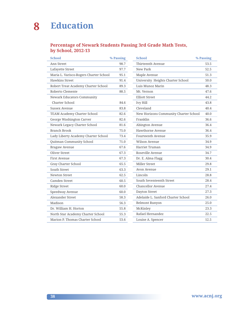#### **Percentage of Newark Students Passing 3rd Grade Math Tests, by School, 2012-13**

| <b>School</b>                          | % Passing |
|----------------------------------------|-----------|
| Ann Street                             | 98.7      |
| Lafayette Street                       | 97.7      |
| Maria L. Varisco-Rogers Charter School | 95.1      |
| <b>Hawkins Street</b>                  | 91.4      |
| Robert Treat Academy Charter School    | 89.3      |
| Roberto Clemente                       | 88.5      |
| Newark Educators Community             |           |
| <b>Charter School</b>                  | 84.6      |
| Sussex Avenue                          | 83.8      |
| <b>TEAM Academy Charter School</b>     | 82.6      |
| George Washington Carver               | 82.6      |
| Newark Legacy Charter School           | 81.6      |
| <b>Branch Brook</b>                    | 75.0      |
| Lady Liberty Academy Charter School    | 73.4      |
| Quitman Community School               | 71.0      |
| Bragaw Avenue                          | 67.6      |
| Oliver Street                          | 67.3      |
| First Avenue                           | 67.3      |
| Gray Charter School                    | 65.5      |
| South Street                           | 63.3      |
| Newton Street                          | 62.5      |
| Camden Street                          | 60.5      |
| <b>Ridge Street</b>                    | 60.0      |
| Speedway Avenue                        | 60.0      |
| Alexander Street                       | 58.3      |
| Madison                                | 56.3      |
| Dr. William H. Horton                  | 55.8      |
| North Star Academy Charter School      | 55.3      |
| Marion P. Thomas Charter School        | 53.6      |
|                                        |           |

| <b>School</b>                         | % Passing |
|---------------------------------------|-----------|
| Thirteenth Avenue                     | 53.5      |
| New Park                              | 52.5      |
| Maple Avenue                          | 51.3      |
| University Heights Charter School     | 50.0      |
| Luis Munoz Marin                      | 48.3      |
| Mt. Vernon                            | 47.6      |
| <b>Elliott Street</b>                 | 44.2      |
| Ivy Hill                              | 43.8      |
| Cleveland                             | 40.4      |
| New Horizons Community Charter School | 40.0      |
| Franklin                              | 36.6      |
| Abington Avenue                       | 36.4      |
| Hawthorne Avenue                      | 36.4      |
| Fourteenth Avenue                     | 35.9      |
| Wilson Avenue                         | 34.9      |
| Harriet Truman                        | 34.9      |
| Roseville Avenue                      | 34.7      |
| Dr. E. Alma Flagg                     | 30.4      |
| <b>Miller Street</b>                  | 29.8      |
| Avon Avenue                           | 29.1      |
| Lincoln                               | 28.8      |
| South Seventeenth Street              | 28.4      |
| Chancellor Avenue                     | 27.4      |
| Dayton Street                         | 27.3      |
| Adelaide L. Sanford Charter School    | 26.0      |
| Belmont Runyon                        | 25.0      |
| McKinley                              | 23.3      |
| Rafael Hernandez                      | 22.5      |
| Louise A. Spencer                     | 12.5      |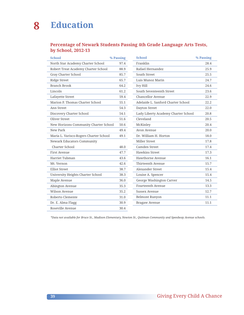#### **Percentage of Newark Students Passing 4th Grade Language Arts Tests, by School, 2012-13**

| <b>School</b>                          | % Passing | <b>School</b>                       | % Passing |
|----------------------------------------|-----------|-------------------------------------|-----------|
| North Star Academy Charter School      | 97.4      | Franklin                            | 28.4      |
| Robert Treat Academy Charter School    | 88.9      | Rafael Hernandez                    | 25.9      |
| Gray Charter School                    | 85.7      | South Street                        | 25.5      |
| <b>Ridge Street</b>                    | 65.7      | Luis Munoz Marin                    | 24.7      |
| <b>Branch Brook</b>                    | 64.2      | Ivy Hill                            | 24.6      |
| Lincoln                                | 61.2      | South Seventeenth Street            | 23.6      |
| Lafayette Street                       | 59.4      | Chancellor Avenue                   | 22.9      |
| Marion P. Thomas Charter School        | 55.1      | Adelaide L. Sanford Charter School  | 22.2      |
| Ann Street                             | 54.3      | <b>Dayton Street</b>                | 22.0      |
| Discovery Charter School               | 54.1      | Lady Liberty Academy Charter School | 20.8      |
| Oliver Street                          | 51.6      | Cleveland                           | 20.5      |
| New Horizons Community Charter School  | 50.6      | McKinley                            | 20.4      |
| New Park                               | 49.4      | Avon Avenue                         | 20.0      |
| Maria L. Varisco-Rogers Charter School | 49.1      | Dr. William H. Horton               | 18.0      |
| Newark Educators Community             |           | Miller Street                       | 17.8      |
| Charter School                         | 48.0      | Camden Street                       | 17.4      |
| First Avenue                           | 47.7      | <b>Hawkins Street</b>               | 17.3      |
| Harriet Tubman                         | 43.6      | Hawthorne Avenue                    | 16.1      |
| Mt. Vernon                             | 42.6      | Thirteenth Avenue                   | 15.7      |
| <b>Elliot Street</b>                   | 38.7      | Alexander Street                    | 15.4      |
| University Heights Charter School      | 38.3      | Louise A. Spencer                   | 15.4      |
| Maple Avenue                           | 36.0      | George Washington Carver            | 14.5      |
| Abington Avenue                        | 35.3      | Fourteenth Avenue                   | 13.3      |
| Wilson Avenue                          | 35.2      | Sussex Avenue                       | 12.7      |
| Roberto Clemente                       | 31.0      | Belmont Runyon                      | 11.1      |
| Dr. E. Alma Flagg                      | 30.9      | Bragaw Avenue                       | 11.1      |
| Roseville Avenue                       | 30.4      |                                     |           |
|                                        |           |                                     |           |

*\*Data not available for Bruce St., Madison Elementary, Newton St., Quitman Community and Speedway Avenue schools.*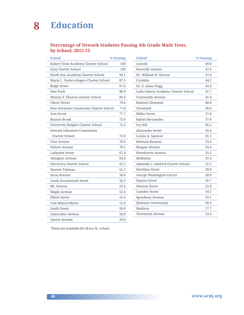#### **Percentage of Newark Students Passing 4th Grade Math Tests, by School, 2012-13**

| <b>School</b>                          | % Passing |
|----------------------------------------|-----------|
| Robert Treat Academy Charter School    | 100       |
| Gray Charter School                    | 100       |
| North Star Academy Charter School      | 96.1      |
| Maria L. Varisco-Rogers Charter School | 87.3      |
| <b>Ridge Street</b>                    | 87.0      |
| New Park                               | 86.9      |
| Marion P. Thomas Charter School        | 82.6      |
| Oliver Streer                          | 79.6      |
| New Horizons Community Charter School  | 77.8      |
| Ann Street                             | 77.7      |
| Branch Brook                           | 75.0      |
| University Heights Charter School      | 72.3      |
| <b>Newark Educators Community</b>      |           |
| Charter School                         | 72.0      |
| First Avenue                           | 70.6      |
| Wilson Avenue                          | 70.1      |
| Lafayette Street                       | 67.4      |
| Abington Avenue                        | 63.6      |
| Discovery Charter School               | 62.5      |
| Harriet Tubman                         | 61.5      |
| Avon Avenue                            | 58.0      |
| South Seventeenth Street               | 56.3      |
| Mt. Vernon                             | 53.4      |
| Maple Avenue                           | 52.0      |
| <b>Elliott Street</b>                  | 51.6      |
| Luis Munoz Marin                       | 51.4      |
| South Street                           | 50.0      |
| Chancellor Avenue                      | 50.0      |
| Sussex Avenue                          | 50.0      |

| Lincoln                             | 49.0 |
|-------------------------------------|------|
| Roseville Avenue                    | 47.8 |
| Dr. William H. Horton               | 47.0 |
| Franklin                            | 44.2 |
| Dr. E. Alma Flagg                   | 43.6 |
| Lady Liberty Academy Charter School | 41.7 |
| Fourteenth Avenue                   | 41.4 |
| Roberto Clemente                    | 40.8 |
| Cleveland                           | 38.6 |
| <b>Miller Street</b>                | 37.8 |
| Rafael Hernandez                    | 37.0 |
| Ivy Hill                            | 36.2 |
| Alexander Street                    | 35.4 |
| Louise A. Spencer                   | 35.1 |
| <b>Belmont Runyon</b>               | 33.4 |
| Bragaw Avenue                       | 33.4 |
| Hawthorne Avenue                    | 32.2 |
| McKinley                            | 31.4 |
| Adelaide L. Sanford Charter School  | 31.1 |
| <b>Hawkins Street</b>               | 30.0 |
| George Washington Carver            | 28.9 |
| Dayton Street                       | 26.7 |
| <b>Newton Street</b>                | 25.0 |
| Camden Street                       | 19.2 |
| Speedway Avenue                     | 19.1 |
| Quitman Community                   | 18.6 |
| Madison                             | 17.7 |
| Thirteenth Avenue                   | 14.4 |

*\*Data not available for Bruce St. school.*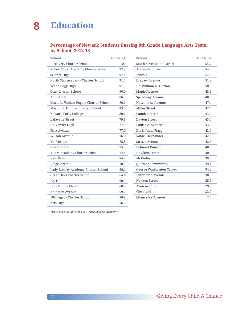#### **Percentage of Newark Students Passing 8th Grade Language Arts Tests, by School, 2012-13**

| <b>School</b>                          | % Passing |
|----------------------------------------|-----------|
| Discovery Charter School               | 100       |
| Robert Treat Academy Charter School    | 97.9      |
| Science High                           | 97.6      |
| North Star Academy Charter School      | 91.7      |
| Technology High                        | 91.7      |
| Gray Charter School                    | 90.0      |
| Ann Street                             | 86.5      |
| Maria L. Varisco-Rogers Charter School | 86.1      |
| Marion P. Thomas Charter School        | 85.0      |
| Newark Early College                   | 80.6      |
| Lafayette Street                       | 79.1      |
| University High                        | 77.5      |
| <b>First Avenue</b>                    | 77.0      |
| Wilson Avenue                          | 76.0      |
| Mt. Vernon                             | 75.8      |
| Oliver Street                          | 75.7      |
| TEAM Academy Charter School            | 74.4      |
| New Park                               | 74.2      |
| <b>Ridge Street</b>                    | 70.1      |
| Lady Liberty Academy Charter School    | 66.1      |
| <b>Great Oaks Charter School</b>       | 64.6      |
| <b>Ivy Hill</b>                        | 60.9      |
| Luis Munoz Marin                       | 60.8      |
| Abington Avenue                        | 59.7      |
| 100 Legacy Charter School              | 56.9      |
| Arts High                              | 56.0      |

| <b>School</b>            | % Passing |
|--------------------------|-----------|
| South Seventeenth Street | 55.7      |
| Alexander Street         | 54.8      |
| Lincoln                  | 54.6      |
| Bragaw Avenue            | 51.2      |
| Dr. William H. Horton    | 50.5      |
| Maple Avenue             | 48.9      |
| Speedway Avenue          | 48.0      |
| Hawthorne Avenue         | 47.4      |
| <b>Miller Street</b>     | 47.4      |
| Camden Street            | 43.9      |
| Dayton Street            | 43.4      |
| Louise A. Spencer        | 43.2      |
| Dr. E. Alma Flagg        | 42.9      |
| Rafael Hernandez         | 42.9      |
| Sussex Avenue            | 42.6      |
| Belmont Runyon           | 40.9      |
| Hawkins Street           | 40.0      |
| McKinley                 | 39.6      |
| Quitman Community        | 39.1      |
| George Washington Carver | 34.2      |
| Thirteenth Avenue        | 30.9      |
| Newton Street            | 25.0      |
| Avon Avenue              | 23.8      |
| Cleveland                | 22.2      |
| Chancellor Avenue        | 17.5      |
|                          |           |

*\*Data not available for Fast Track Success Academy.*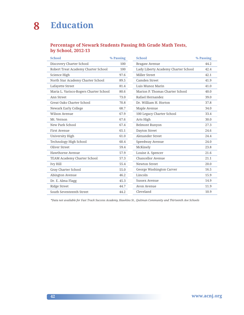#### **Percentage of Newark Students Passing 8th Grade Math Tests, by School, 2012-13**

| <b>School</b>                          | % Passing | <b>School</b>                       | % Passing |
|----------------------------------------|-----------|-------------------------------------|-----------|
| Discovery Charter School               | 100       | Bragaw Avenue                       | 44.2      |
| Robert Treat Academy Charter School    | 100       | Lady Liberty Academy Charter School | 42.4      |
| Science High                           | 97.6      | Miller Street                       | 42.1      |
| North Star Academy Charter School      | 89.5      | Camden Street                       | 41.9      |
| Lafayette Street                       | 81.4      | Luis Munoz Marin                    | 41.0      |
| Maria L. Varisco-Rogers Charter School | 80.6      | Marion P. Thomas Charter School     | 40.0      |
| Ann Street                             | 73.0      | Rafael Hernandez                    | 39.0      |
| Great Oaks Charter School              | 70.8      | Dr. William H. Horton               | 37.8      |
| Newark Early College                   | 68.7      | Maple Avenue                        | 34.0      |
| Wilson Avenue                          | 67.9      | 100 Legacy Charter School           | 33.4      |
| Mt. Vernon                             | 67.6      | Arts High                           | 30.0      |
| New Park School                        | 67.4      | <b>Belmont Runyon</b>               | 27.3      |
| First Avenue                           | 65.1      | Dayton Street                       | 24.6      |
| University High                        | 61.0      | Alexander Street                    | 24.4      |
| Technology High School                 | 60.4      | Speedway Avenue                     | 24.0      |
| Oliver Street                          | 59.4      | McKinely                            | 23.8      |
| Hawthorne Avenue                       | 57.9      | Louise A. Spencer                   | 21.6      |
| <b>TEAM Academy Charter School</b>     | 57.3      | Chancellor Avenue                   | 21.1      |
| <b>Ivy Hill</b>                        | 55.4      | Newton Street                       | 20.0      |
| Gray Charter School                    | 55.0      | George Washington Carver            | 16.5      |
| Abington Avenue                        | 46.2      | Lincoln                             | 15.9      |
| Dr. E. Alma Flagg                      | 45.3      | Sussex Avenue                       | 14.9      |
| Ridge Street                           | 44.7      | Avon Avenue                         | 11.9      |
| South Seventeenth Street               | 44.2      | Cleveland                           | 10.9      |

*\*Data not available for Fast Track Success Academy, Hawkins St., Quitman Community and Thirteenth Ave Schools*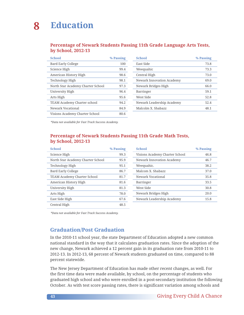#### **Percentage of Newark Students Passing 11th Grade Language Arts Tests, by School, 2012-13**

| <b>School</b>                      | % Passing |
|------------------------------------|-----------|
| Bard Early College                 | 100       |
| Science High                       | 99.4      |
| American History High              | 98.6      |
| Technology High                    | 98.1      |
| North Star Academy Charter School  | 97.3      |
| University High                    | 96.4      |
| Arts High                          | 95.6      |
| <b>TEAM Academy Charter school</b> | 94.2      |
| Newark Vocational                  | 84.9      |
| Visions Academy Charter School     | 80 6      |

| <b>School</b>             | % Passing |
|---------------------------|-----------|
| East Side                 | 73.8      |
| Weequahic                 | 73.3      |
| Central High              | 73.0      |
| Newark Innovation Academy | 69.0      |
| Newark Bridges High       | 66.0      |
| Barringer                 | 59.1      |
| West Side                 | 52.8      |
| Newark Leadership Academy | 52.4      |
| Malcolm X. Shabazz        | 48.1      |

*\*Data not available for Fast Track Success Academy.* 

#### **Percentage of Newark Students Passing 11th Grade Math Tests, by School, 2012-13**

| <b>School</b>                     | % Passing |
|-----------------------------------|-----------|
| Science High                      | 99.3      |
| North Star Academy Charter School | 95.9      |
| Technology High                   | 95.1      |
| Bard Early College                | 86.7      |
| TEAM Academy Charter School       | 81.7      |
| American History High             | 81.6      |
| University High                   | 81.3      |
| Arts High                         | 78.0      |
| East Side High                    | 67.6      |
| Central High                      | 48.5      |

| <b>School</b>                  | % Passing |
|--------------------------------|-----------|
| Visions Academy Charter School | 46.8      |
| Newark Innovation Academy      | 46.7      |
| Weequahic.                     | 38.2      |
| Malcom X. Shabazz              | 37.0      |
| Newark Vocational              | 35.8      |
| Barringer                      | 33.5      |
| West Side                      | 30.8      |
| Newark Bridges High            | 20.0      |
| Newark Leadership Academy      | 15.8      |
|                                |           |

*\*Data not available for Fast Track Success Academy.* 

#### **Graduation/Post Graduation**

In the 2010-11 school year, the state Department of Education adopted a new common national standard in the way that it calculates graduation rates. Since the adoption of the new change, Newark achieved a 12 percent gain in its graduation rate from 2010-11 to 2012-13. In 2012-13, 68 percent of Newark students graduated on time, compared to 88 percent statewide.

The New Jersey Department of Education has made other recent changes, as well. For the first time data were made available, by school, on the percentage of students who graduated high school and who were enrolled in a post-secondary institution the following October. As with test score passing rates, there is significant variation among schools and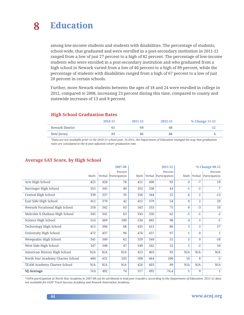among low-income students and students with disabilities. The percentage of students, school-wide, that graduated and were enrolled in a post-secondary institution in 2011-12 ranged from a low of just 27 percent to a high of 82 percent. The percentage of low-income students who were enrolled in a post-secondary institution and who graduated from a high school in Newark varied from a low of 40 percent to a high of 89 percent, while the percentage of students with disabilities ranged from a high of 67 percent to a low of just 20 percent in certain schools.

Further, more Newark students between the ages of 18 and 24 were enrolled in college in 2012, compared to 2008, increasing 23 percent during this time, compared to county and statewide increases of 13 and 8 percent.

#### **High School Graduation Rates**

|                 | 2010-11 | 2011-12 | 2012-13 | % Change 11-13 |
|-----------------|---------|---------|---------|----------------|
| Newark District |         | 69      | 68      |                |
| New Jersey      | 83      | 86      | 88      |                |

*\*Data are not available prior to the 2010-11 school year. In 2011, the Department of Education changed the way that graduation rates are calculated to the 4-year adjusted cohort graduation rate.*

|                                    | 2007-08 |     |                      | 2011-12 |     |                      | % Change 08-12 |                |               |
|------------------------------------|---------|-----|----------------------|---------|-----|----------------------|----------------|----------------|---------------|
|                                    |         |     | Percent              |         |     | Percent              |                |                | Percent       |
|                                    | Math    |     | Verbal Participation | Math    |     | Verbal Participation | Math           | Verbal         | Participation |
| Arts High School                   | 425     | 428 | 78                   | 411     | 400 | 93                   | $-3$           | $-7$           | 19            |
| Barringer High School              | 355     | 345 | 40                   | 352     | 338 | 43                   | $-1$           | $-2$           | 7             |
| Central High School                | 339     | 337 | 59                   | 358     | 344 | 52                   | 6              | 2              | $-13$         |
| East Side High School              | 412     | 370 | 42                   | 412     | 379 | 54                   | 0              | $\overline{2}$ | 29            |
| Newark Vocational High School      | 318     | 342 | 63                   | 343     | 333 | 75                   | 8              | $-3$           | 19            |
| Malcolm X Shabazz High School      | 345     | 341 | 63                   | 343     | 336 | 62                   | $-1$           | $-1$           | $-2$          |
| Science High School                | 514     | 469 | 100                  | 534     | 492 | 98                   | $\overline{4}$ | 5              | $-2$          |
| Technology High School             | 415     | 396 | 68                   | 435     | 415 | 86                   | 5              | 5              | 27            |
| University High School             | 472     | 437 | 96                   | 476     | 437 | 97                   | $\mathbf{1}$   | $\mathbf{0}$   | $\mathbf{1}$  |
| Weequahic High School              | 341     | 349 | 62                   | 359     | 349 | 51                   | 5              | $\Omega$       | $-18$         |
| West Side High School              | 347     | 348 | 47                   | 349     | 342 | 52                   | $\mathbf{1}$   | $-2$           | 10            |
| American History High School       | N/A     | N/A | N/A                  | 415     | 403 | 93                   | N/A            | N/A            | N/A           |
| North Star Academy Charter School  | 460     | 431 | 105                  | 508     | 464 | 100                  | 10             | 8              | $-5$          |
| <b>TEAM Academy Charter School</b> | N/A     | N/A | N/A                  | 426     | 403 | 89                   | N/A            | N/A            | N/A           |
| NJ Average                         | 514     | 492 | 74                   | 517     | 492 | 74.4                 | $\mathbf{1}$   | $\mathbf{0}$   | $\mathbf{1}$  |

#### **Average SAT Score, by High School**

*\*105% participation at North Star Academy in 2007-08 can be attributed to mid-year transfers, according to the Department of Education. 2011-12 data not available for FAST Track Success Academy and Newark Innovation Academy.*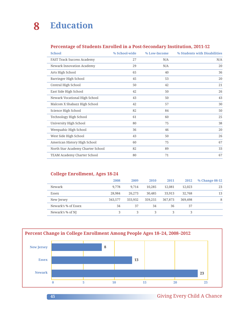#### **Percentage of Students Enrolled in a Post-Secondary Institution, 2011-12**

| <b>School</b>                      | % School-wide | % Low-Income | % Students with Disabilities |
|------------------------------------|---------------|--------------|------------------------------|
| <b>FAST Track Success Academy</b>  | 27            | N/A          | N/A                          |
| Newark Innovation Academy          | 29            | N/A          | 20                           |
| Arts High School                   | 65            | 40           | 36                           |
| Barringer High School              | 45            | 53           | 20                           |
| Central High School                | 50            | 42           | 21                           |
| East Side High School              | 42            | 50           | 26                           |
| Newark Vocational High School      | 43            | 50           | 43                           |
| Malcom X Shabazz High School       | 42            | 57           | 30                           |
| Science High School                | 82            | 84           | 50                           |
| Technology High School             | 61            | 60           | 25                           |
| University High School             | 80            | 75           | 38                           |
| Weequahic High School              | 36            | 46           | 20                           |
| West Side High School              | 43            | 50           | 26                           |
| American History High School       | 60            | 75           | 67                           |
| North Star Academy Charter School  | 82            | 89           | 33                           |
| <b>TEAM Academy Charter School</b> | 80            | 71           | 67                           |

#### **College Enrollment, Ages 18-24**

|                     | 2008    | 2009    | 2010    | 2011    | 2012    | % Change 08-12 |
|---------------------|---------|---------|---------|---------|---------|----------------|
| Newark              | 9.778   | 9.714   | 10.285  | 12,081  | 12,023  | 23             |
| Essex               | 28,984  | 26,273  | 30,485  | 33,913  | 32,768  | 13             |
| New Jersey          | 343,577 | 333.932 | 359,255 | 367,873 | 369,498 | 8              |
| Newark's % of Essex | 34      | 37      | 34      | 36      | 37      |                |
| Newark's % of NJ    | 3       | 3       | 3       |         |         |                |

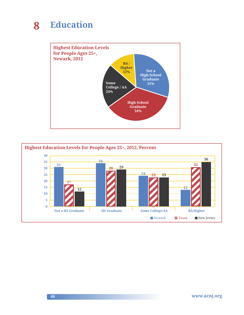

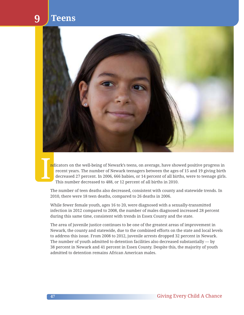### **9 Teens**



I ndicators on the well-being of Newark's teens, on average, have showed positive progress in recent years. The number of Newark teenagers between the ages of 15 and 19 giving birth decreased 27 percent. In 2006, 666 babies, or 14 percent of all births, were to teenage girls. This number decreased to 488, or 12 percent of all births in 2010.

The number of teen deaths also decreased, consistent with county and statewide trends. In 2010, there were 18 teen deaths, compared to 26 deaths in 2006.

While fewer female youth, ages 16 to 20, were diagnosed with a sexually-transmitted infection in 2012 compared to 2008, the number of males diagnosed increased 28 percent during this same time, consistent with trends in Essex County and the state.

The area of juvenile justice continues to be one of the greatest areas of improvement in Newark, the county and statewide, due to the combined efforts on the state and local levels to address this issue. From 2008 to 2012, juvenile arrests dropped 32 percent in Newark. The number of youth admitted to detention facilities also decreased substantially — by 38 percent in Newark and 41 percent in Essex County. Despite this, the majority of youth admitted to detention remains African American males.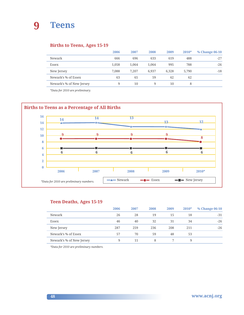

#### **Births to Teens, Ages 15-19**

|                          | 2006  | 2007  | 2008  | 2009  | $2010*$ | % Change 06-10 |
|--------------------------|-------|-------|-------|-------|---------|----------------|
| Newark                   | 666   | 696   | 633   | 619   | 488     | $-27$          |
| Essex                    | 1.058 | 1.064 | 1.064 | 995   | 788     | $-26$          |
| New Jersey               | 7.088 | 7.207 | 6.937 | 6.328 | 5,790   | $-18$          |
| Newark's % of Essex      | 63    | 65    | 59    | 62    | 62      |                |
| Newark's % of New Jersey | 9     | 10    | 9     | 10    | 8       |                |

*\*Data for 2010 are preliminary.*



#### **Teen Deaths, Ages 15-19**

|                          | 2006 | 2007 | 2008 | 2009 | $2010*$ | % Change 06-10 |
|--------------------------|------|------|------|------|---------|----------------|
| Newark                   | 26   | 28   | 19   | 15   | 18      | $-31$          |
| Essex                    | 46   | 40   | 32   | 31   | 34      | $-26$          |
| New Jersey               | 287  | 259  | 236  | 208  | 211     | $-26$          |
| Newark's % of Essex      | 57   | 70   | 59   | 48   | 53      |                |
| Newark's % of New Jersey | 9    | 11   | 8    |      | 9       |                |

*\*Data for 2010 are preliminary numbers.*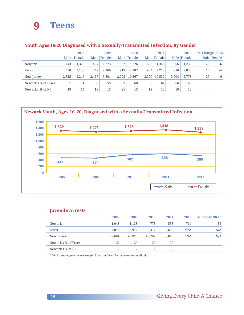### **9 Teens**

|                     |       | 2008   |       | 2009   |       | 2010   |       | 2011          |       | 2012        |    | % Change 08-12 |
|---------------------|-------|--------|-------|--------|-------|--------|-------|---------------|-------|-------------|----|----------------|
|                     | Male  | Female | Male  | Female | Male  | Female |       | Male   Female |       | Male Female |    | Male Female    |
| Newark              | 443   | 1,320  | 437   | 1.273  | 582   | 1.326  | 608   | 1.348         | 566   | 1,239       | 28 | $-6$           |
| Essex               | 730   | 2.158  | 749   | 2,160  | 917   | 2.207  | 932   | 2,213         | 856   | 2,078       | 17 | $-4$           |
| New Jersey          | 2,325 | 9.246  | 2.427 | 9.501  | 2.793 | 10,267 | 3.290 | 10.532        | 3.004 | 9,773       | 29 | 6              |
| Newark's % of Essex | 61    | 61     | 58    | 59     | 63    | 60     | 65    | 61            | 66    | 60          |    |                |
| Newark's % of NJ    | 19    | 14     | 18    | 13     | 21    | 13     | 18    | 13            | 19    | 13          |    |                |

#### **Youth Ages 16-20 Diagnosed with a Sexually-Transmitted Infection, By Gender**



#### **Juvenile Arrests**

|                     | 2008   | 2009   | 2010   | 2011   | 2012    | % Change 08-12 |
|---------------------|--------|--------|--------|--------|---------|----------------|
| Newark              | 1,048  | 1.138  | 773    | 533    | 714     | $-32$          |
| Essex               | 4.048  | 3.977  | 3.377  | 2.679  | $N/A^*$ | N/A            |
| New Jersey          | 52.684 | 48,923 | 40,702 | 33,893 | $N/A^*$ | N/A            |
| Newark's % of Essex | 26     | 29     | 23     | 20     |         |                |
| Newark's % of NJ    | 2      |        |        |        |         |                |

*\* 2012 data on juvenile arrests for Essex and New Jersey were not available.*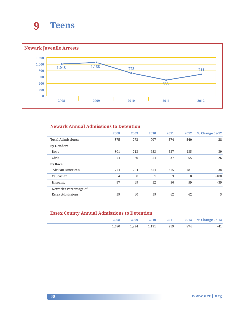



#### **Newark Annual Admissions to Detention**

|                          | 2008           | 2009         | 2010         | 2011 | 2012     | % Change 08-12 |
|--------------------------|----------------|--------------|--------------|------|----------|----------------|
| <b>Total Admissions:</b> | 875            | 773          | 707          | 574  | 540      | $-38$          |
| <b>By Gender:</b>        |                |              |              |      |          |                |
| <b>Boys</b>              | 801            | 713          | 653          | 537  | 485      | $-39$          |
| Girls                    | 74             | 60           | 54           | 37   | 55       | $-26$          |
| By Race:                 |                |              |              |      |          |                |
| African American         | 774            | 704          | 654          | 515  | 481      | $-38$          |
| Caucasian                | $\overline{4}$ | $\mathbf{0}$ | $\mathbf{1}$ | 3    | $\theta$ | $-100$         |
| Hispanic                 | 97             | 69           | 52           | 56   | 59       | $-39$          |
| Newark's Percentage of   |                |              |              |      |          |                |
| <b>Essex Admissions</b>  | 59             | 60           | 59           | 62   | 62       | 5              |

#### **Essex County Annual Admissions to Detention**

| 2008  | 2009  | 2010  | 2011 |     | 2012 % Change 08-12 |
|-------|-------|-------|------|-----|---------------------|
| 1.480 | 1,294 | 1.191 | 919  | 874 | -41                 |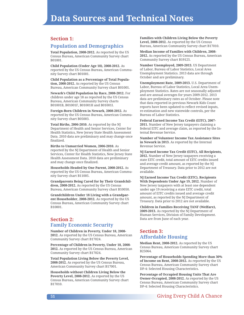#### **Section 1:**

#### **Population and Demographics**

**Total Population, 2008-2012.** As reported by the US Census Bureau, American Community Survey chart B01001.

**Child Population (Under Age 18), 2008-2012.** As reported by the US Census Bureau, American Community Survey chart B01001.

**Child Population as a Percentage of Total Population, 2008-2012.** As reported by the US Census Bureau, American Community Survey chart B01001.

**Newark's Child Population by Race, 2008-2012.** For children under age 18 as reported by the US Census Bureau, American Community Survey charts B01001B, B01001F, B01001H and B01001I.

**Foreign-Born Children in Newark, 2008-2012.** As reported by the US Census Bureau, American Community Survey chart B05003.

**Total Births, 2006-2010.** As reported by the NJ Department of Health and Senior Services, Center for Health Statistics, New Jersey State Health Assessment Data. 2010 data are preliminary and may change once finalized.

**Births to Unmarried Women, 2006-2010.** As reported by the NJ Department of Health and Senior Services, Center for Health Statistics, New Jersey State Health Assessment Data. 2010 data are preliminary and may change once finalized.

**Households Headed by One Parent, 2008-2012.** As reported by the US Census Bureau, American Community Survey chart B11005.

**Grandparents Being Cared for by Their Grandchildren, 2008-2012.** As reported by the US Census Bureau, American Community Survey chart B10050.

**Grandchildren Under 18 Living with a Grandparent Householder, 2008-2012.** As reported by the US Census Bureau, American Community Survey chart B10001.

#### **Section 2: Family Economic Security**

**Number of Children in Poverty, Under 18, 2008- 2012.** As reported by the US Census Bureau, American Community Survey chart B17024.

**Percentage of Children in Poverty, Under 18, 2008- 2012.** As reported by the US Census Bureau, American Community Survey chart B17024.

**Total Population Living Below the Poverty Level, 2008-2012.** As reported by the US Census Bureau, American Community Survey chart B17001.

**Households without Children Living Below the Poverty Level, 2008-2012.** As reported by the US Census Bureau, American Community Survey chart B17010.

**Families with Children Living Below the Poverty Level, 2008-2012.** As reported by the US Census Bureau, American Community Survey chart B17010.

**Median Income of Families with Children, 2008- 2012.** As reported by the US Census Bureau, American Community Survey chart B19125.

**Number Unemployed, 2009-2013.** US Department of Labor, Bureau of Labor Statistics, Local Area Unemployment Statistics. 2013 data are through October and are preliminary.

**Unemployment Rate, 2009-2013.** U.S. Department of Labor, Bureau of Labor Statistics, Local Area Unemployment Statistics. Rates are not seasonally adjusted and are annual averages for years 2009-2012. 2013 data are preliminary rates as of October. Please note that data reported in previous Newark Kids Count reports have been updated to reflect revised inputs, re-estimation and new statewide controls, per the Bureau of Labor Statistics.

**Federal Earned Income Tax Credit (EITC), 2007- 2011.** Number of New Jersey taxpayers claiming a federal EITC and average claim, as reported by the Internal Revenue Service.

**Number of Volunteer Income Tax Assistance Sites in Newark in 2013.** As reported by the Internal Revenue Service.

**NJ Earned Income Tax Credit (EITC), All Recipients, 2012.** Number of New Jersey taxpayers receiving a state EITC credit, total amount of EITC credits issued and average credit amount, as reported by the NJ Department of Treasury. Data prior to 2012 are not available.

**NJ Earned Income Tax Credit (EITC), Recipients With Dependents Under Age 19, 2012.** Number of New Jersey taxpayers with at least one dependent under age 19 receiving a state EITC credit, total amount of EITC credits issued and average credit amount, as reported by the NJ Department of Treasury. Data prior to 2012 are not available.

**Children in Families Receiving TANF (Welfare), 2009-2013.** As reported by the NJ Department of Human Services, Division of Family Development. Data are from June of each year.

#### **Section 3: Affordable Housing**

**Median Rent, 2008-2012.** As reported by the US Census Bureau, American Community Survey chart B25064.

**Percentage of Households Spending More than 30% of Income on Rent, 2008-2012.** As reported by the US Census Bureau, American Community Survey chart DP-4: Selected Housing Characteristics.

**Percentage of Occupied Housing Units That Are Owner-Occupied, 2008-2012.** As reported by the US Census Bureau, American Community Survey chart DP-4: Selected Housing Characteristics.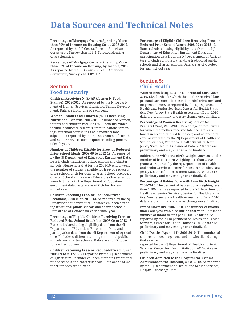**Percentage of Mortgage Owners Spending More than 30% of Income on Housing Costs, 2008-2012**. As reported by the US Census Bureau, American Community Survey chart DP-4: Selected Housing Characteristics.

**Percentage of Mortgage Owners Spending More than 30% of Income on Housing, by Income, 2012.** As reported by the US Census Bureau, American Community Survey. chart B25101.

#### **Section 4: Food Insecurity**

**Children Receiving NJ SNAP (formerly Food Stamps), 2009-2013.** As reported by the NJ Department of Human Services, Division of Family Development. Data are from June of each year.

**Women, Infants and Children (WIC) Receiving Nutritional Benefits, 2009-2013.** Number of women, infants and children receiving WIC benefits, which include healthcare referrals, immunizations screenings, nutrition counseling and a monthly food stipend. As reported by the NJ Department of Health and Senior Services for the quarter ending June 30<sup>th</sup> of each year.

**Number of Children Eligible for Free- or Reduced-Price School Meals, 2008-09 to 2012-13.** As reported by the NJ Department of Education, Enrollment Data. Data include traditional public schools and charter schools. Please note that for the 2009-10 school year, the number of students eligible for free- or reducedprice school lunch for Gray Charter School, Discovery Charter School and Newark Educators Charter school were left blank in the Department of Education enrollment data. Data are as of October for each school year.

**Children Receiving Free- or Reduced-Priced Breakfast, 2008-09 to 2012-13.** As reported by the NJ Department of Agriculture. Includes children attending traditional public schools and charter schools. Data are as of October for each school year.

**Percentage of Eligible Children Receiving Free- or Reduced-Price School Breakfast, 2008-09 to 2012-13.** Rates calculated using eligibility data from the NJ Department of Education, Enrollment Data, and participation data from the NJ Department of Agriculture. Includes children attending traditional public schools and charter schools. Data are as of October for each school year.

**Children Receiving Free- or Reduced-Priced Lunch, 2008-09 to 2012-13.** As reported by the NJ Department of Agriculture. Includes children attending traditional public schools and charter schools. Data are as of October for each school year.

**Percentage of Eligible Children Receiving Free- or Reduced-Price School Lunch, 2008-09 to 2012-13.** Rates calculated using eligibility data from the NJ Department of Education, Enrollment Data, and participation data from the NJ Department of Agriculture. Includes children attending traditional public schools and charter schools. Data are as of October for each school year.

#### **Section 5: Child Health**

**Women Receiving Late or No Prenatal Care, 2006- 2010.** Live births for which the mother received late prenatal care (onset in second or third trimester) and no prenatal care, as reported by the NJ Department of Health and Senior Services, Center for Health Statistics, New Jersey State Health Assessment Data. 2010 data are preliminary and may change once finalized.

**Percentage of Women Receiving Late or No Prenatal Care, 2006-2010.** Percentage of total births for which the mother received late prenatal care (onset in second or third trimester) and no prenatal care, as reported by the NJ Department of Health and Senior Services, Center for Health Statistics, New Jersey State Health Assessment Data. 2010 data are preliminary and may change once finalized.

**Babies Born with Low-Birth Weight, 2006-2010.** The number of babies born weighing less than 2,500 grams as reported by the NJ Department of Health and Senior Services, Center for Health Statistics, New Jersey State Health Assessment Data. 2010 data are preliminary and may change once finalized.

**Percentage of Babies Born with Low Birth Weight, 2006-2010.** The percent of babies born weighing less than 2,500 grams as reported by the NJ Department of Health and Senior Services, Center for Health Statistics, New Jersey State Health Assessment. Data. 2010 data are preliminary and may change once finalized.

**Infant Mortality, 2006-2010.** The number of infants under one year who died during that year. Rate is the number of infant deaths per 1,000 live births. As reported by the NJ Department of Health and Senior Services, Center for Health Statistics. 2010 data are preliminary and may change once finalized.

**Child Deaths (Ages 1-14), 2006-2010.** The number of children between ages one and 14 who died during that year, as

reported by the NJ Department of Health and Senior Services, Center for Health Statistics. 2010 data are preliminary and may change once finalized.

**Children Admitted to the Hospital for Asthma Admissions to the Hospital, 2008- 2012.** As reported by the NJ Department of Health and Senior Services, Hospital Discharge Data.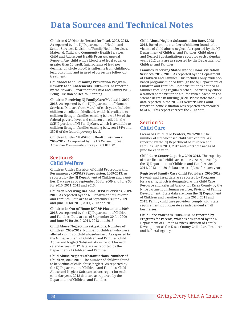**Children 6-29 Months Tested for Lead, 2008, 2012.** As reported by the NJ Department of Health and Senior Services, Division of Family Health Services, Maternal, Child and Community Health Services, Child and Adolescent Health Program, Annual Reports. Any child with a blood lead level equal or greater than 10 ug/dL (micrograms of lead per deciliter of whole blood) is suffering from childhood lead poisoning and in need of corrective follow-up treatment.

**Childhood Lead Poisoning Prevention Program, Newark Lead Abatements, 2009-2013.** As reported by the Newark Department of Child and Family Well-Being, Division of Health Planning.

**Children Receiving NJ FamilyCare/Medicaid, 2009- 2013.** As reported by the NJ Department of Human Services. Data are from March of each year. Includes children enrolled in Medicaid, which is available to children living in families earning below 133% of the federal poverty level and children enrolled in the SCHIP portion of NJ FamilyCare, which is available to children living in families earning between 134% and 350% of the federal poverty level.

**Children Under 18 Without Health Insurance, 2008-2012.** As reported by the US Census Bureau, American Community Survey chart B27001.

#### **Section 6: Child Welfare**

**Children Under Division of Child Protection and Permanency (DCP&P) Supervision, 2009-2013.** As reported by the NJ Department of Children and Families. Data are as of September 30 for 2009 and June 30 for 2010, 2011, 2012 and 2013.

**Children Receiving In-Home DCP&P Services, 2009- 2013.** As reported by the NJ Department of Children and Families. Data are as of September 30 for 2009 and June 30 for 2010, 2011, 2012 and 2013.

**Children in Out-of-Home DCP&P Placement, 2009- 2013.** As reported by the NJ Department of Children and Families. Data are as of September 30 for 2009 and June 30 for 2010, 2011, 2012 and 2013.

**Child Abuse/Neglect Investigations, Number of Children, 2008-2012.** Number of children who were alleged victims of child abuse/neglect. As reported by the NJ Department of Children and Families, Child Abuse and Neglect Substantiations report for each calendar year. 2012 data are as reported by the Department of Children and Families.

**Child Abuse/Neglect Substantiations, Number of Children, 2008-2012.** The number of children found to be victims of child abuse/neglect. As reported by the NJ Department of Children and Families, Child Abuse and Neglect Substantiations report for each calendar year. 2012 data are as reported by the Department of Children and Families.

**Child Abuse/Neglect Substantiation Rate, 2008- 2012.** Based on the number of children found to be victims of child abuse/ neglect. As reported by the NJ Department of Children and Families, Child Abuse and Neglect Substantiations report for each calendar year. 2012 data are as reported by the Department of Children and Families.

**Families Receiving State-Funded Home Visitation Services, 2012, 2013.** As reported by the Department of Children and Families. This includes only evidencebased programs funded through the NJ Department of Children and Families. Home visitation is defined as families receiving regularly scheduled visits by either a trained home visitor or a nurse with a bachelor's of science degree in nursing (BSN). Please note that 2012 data reported in the 2012-13 Newark Kids Count report on home visitation was reported erroneously to ACNJ. This report corrects the 2012 data.

#### **Section 7: Child Care**

**Licensed Child Care Centers, 2009-2013.** The number of state-licensed child care centers. As reported by the NJ Department of Children and Families. 2010, 2011, 2012 and 2013 data are as of June for each year.

**Child Care Center Capacity, 2009-2013.** The capacity of state-licensed child care centers. As reported by the NJ Department of Children and Families. 2010, 2011, 2012 and 2013 data are as of June for each year.

**Registered Family Care Child Providers, 2008-2012.** Newark and Essex data are reported by Programs for Parents, which is designated as the Child Care Resource and Referral Agency for Essex County by the NJ Department of Human Services, Division of Family Development. State data are from the NJ Department of Children and Families for June 2010, 2011 and 2012. Family child care providers comply with state requirements, but operate as independent small businesses.

**Child Care Vouchers, 2008-2012.** As reported by Programs for Parents, which is designated by the NJ Department of Human Services Division of Family Development as the Essex County Child Care Resource and Referral Agency. .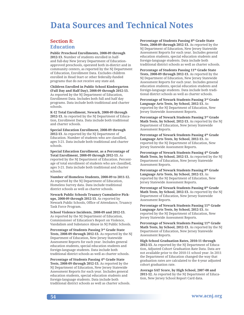#### **Section 8: Education**

**Public Preschool Enrollments, 2008-09 through 2012-13.** Number of students enrolled in halfand full-day New Jersey Department of Educationapproved preschools, operated both in-district and in community centers, as reported by the NJ Department of Education, Enrollment Data. Excludes children enrolled in Head Start or other federally-funded programs that do not receive any state aid.

**Children Enrolled in Public School Kindergarten (Full Day and Half Day), 2008-09 through 2012-13.** As reported by the NJ Department of Education, Enrollment Data. Includes both full and half day programs. Data include both traditional and charter schools.

**K-12 Total Enrollment, Newark, 2008-09 through 2012-13.** As reported by the NJ Department of Education, Enrollment Data. Data include both traditional and charter schools.

**Special Education Enrollment, 2008-09 through 2012-13**. As reported by the NJ Department of Education. Number of students who are classified, ages 3-21. Data include both traditional and charter schools.

**Special Education Enrollment, as a Percentage of Total Enrollment, 2008-09 through 2012-13.** As reported by the NJ Department of Education. Percentage of total enrollment of students who are classified, ages 3-21. Data include both traditional and charter schools.

**Number of Homeless Students, 2008-09 to 2011-12.** As reported by the NJ Department of Education, Homeless Survey data. Data include traditional district schools as well as charter schools.

**Newark Public Schools Truancy Cumulative Pickups, 2008-09 through 2012-13.** As reported by Newark Public Schools, Office of Attendance, Truancy Task Force Program.

**School Violence Incidents, 2008-09 and 2012-13.** As reported by the NJ Department of Education, Commissioner of Education's Report on Violence, Vandalism and Substance Abuse in NJ Public Schools.

**Percentage of Students Passing 3rd Grade State Tests, 2008-09 through 2012-13.** As reported by the NJ Department of Education, New Jersey Statewide Assessment Reports for each year. Includes general education students, special education students and foreign-language students. Data include both traditional district schools as well as charter schools.

**Percentage of Students Passing 4th Grade State Tests, 2008-09 through 2012-13.** As reported by the NJ Department of Education, New Jersey Statewide Assessment Reports for each year. Includes general education students, special education students and foreign-language students. Data include both traditional district schools as well as charter schools. **Percentage of Students Passing 8th Grade State Tests, 2008-09 through 2012-13.** As reported by the NJ Department of Education, New Jersey Statewide Assessment Reports for each year. Includes general education students, special education students and foreign-language students. Data include both traditional district schools as well as charter schools.

**Percentage of Students Passing 11th Grade State Tests, 2008-09 through 2012-13.** As reported by the NJ Department of Education, New Jersey Statewide Assessment Reports for each year. Includes general education students, special education students and foreign-language students. Data include both traditional district schools as well as charter schools.

**Percentage of Newark Students Passing 3rd Grade Language Arts Tests, by School, 2012-13.** As reported by the NJ Department of Education, New Jersey Statewide Assessment Reports.

**Percentage of Newark Students Passing 3rd Grade Math Tests, by School, 2012-13.** As reported by the NJ Department of Education, New Jersey Statewide Assessment Reports.

**Percentage of Newark Students Passing 4th Grade Language Arts Tests, by School, 2012-13.** As reported by the NJ Department of Education, New Jersey Statewide Assessment Reports.

**Percentage of Newark Students Passing 4th Grade Math Tests, by School, 2012-13.** As reported by the NJ Department of Education, New Jersey Statewide Assessment Reports.

**Percentage of Newark Students Passing 8th Grade Language Arts Tests, by School, 2012-13.** As reported by the NJ Department of Education, New Jersey Statewide Assessment Reports.

**Percentage of Newark Students Passing 8th Grade Math Tests, by School, 2012-13.** As reported by the NJ Department of Education, New Jersey Statewide Assessment Reports.

**Percentage of Newark Students Passing 11th Grade Language Arts Tests, by School, 2012-13.** As reported by the NJ Department of Education, New Jersey Statewide Assessment Reports.

Percentage of Newark Students Passing 11<sup>th</sup> Grade **Math Tests, by School, 2012-13.** As reported by the NJ Department of Education, New Jersey Statewide Assessment Reports.

**High School Graduation Rates, 2010-11 through 2012-13.** As reported by the NJ Department of Education, Adjusted Cohort Graduation Rate Data. Data are not available prior to the 2010-11 school year. In 2011 the Department of Education changed the way that graduation rates are calculated to the 4-year adjusted cohort graduation rate.

**Average SAT Score, by High School, 2007-08 and 2011-12.** As reported by the NJ Department of Education, New Jersey School Report Card data.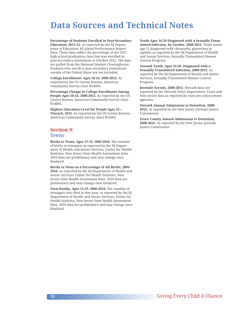**Percentage of Students Enrolled in Post-Secondary Education, 2011-12**. As reported by the NJ Department of Education, NJ School Performance Report Data. These data reflect the percentage of the 2011 high school graduation class that was enrolled in post-secondary institutions in October 2012. The data are pulled from the National Student Clearinghouse. Students who enroll in post-secondary institutions outside of the United States are not included.

**College Enrollment, Ages 18-24, 2008-2012.** As reported by the US Census Bureau, American Community Survey chart B14004.

**Percentage Change in College Enrollment Among People Ages 18-24, 2008-2012.** As reported by the US Census Bureau, American Community Survey chart B14004.

**Highest Education Level for People Ages 25+, Newark, 2012.** As reported by the US Census Bureau, American Community Survey chart B15002.

#### **Section 9: Teens**

**Births to Teens, Ages 15-19, 2006-2010.** The number of births to teenagers as reported by the NJ Department of Health and Senior Services, Center for Health Statistics, New Jersey State Health Assessment Data. 2010 data are preliminary and may change once finalized.

**Births to Teens as a Percentage of All Births, 2006- 2010.** As reported by the NJ Department of Health and Senior Services, Center for Health Statistics, New Jersey State Health Assessment Data. 2010 data are preliminary and may change once finalized.

**Teen Deaths, Ages 15-19, 2006-2010**. The number of teenagers who died in that year, as reported by the NJ Department of Health and Senior Services, Center for Health Statistics, New Jersey State Health Assessment Data. 2010 data are preliminary and may change once finalized.

**Youth Ages 16-20 Diagnosed with a Sexually-Transmitted Infection, by Gender, 2008-2012.** Youth under age 21 diagnosed with chlamydia, gonorrhea or syphilis as reported by the NJ Department of Health and Senior Services, Sexually-Transmitted Disease Control Program.

**Newark Youth, Ages 16-20, Diagnosed with a Sexually-Transmitted Infection, 2008-2012.** As reported by the NJ Department of Health and Senior Services, Sexually-Transmitted Disease Control Program.

**Juvenile Arrests, 2008-2012.** Newark data are reported by the Newark Police Department. Essex and New Jersey data as reported by state law enforcement agencies.

**Newark Annual Admissions to Detention, 2008- 2012.** As reported by the New Jersey Juvenile Justice Commission.

**Essex County Annual Admissions to Detention, 2008-2012.** As reported by the New Jersey Juvenile Justice Commission.